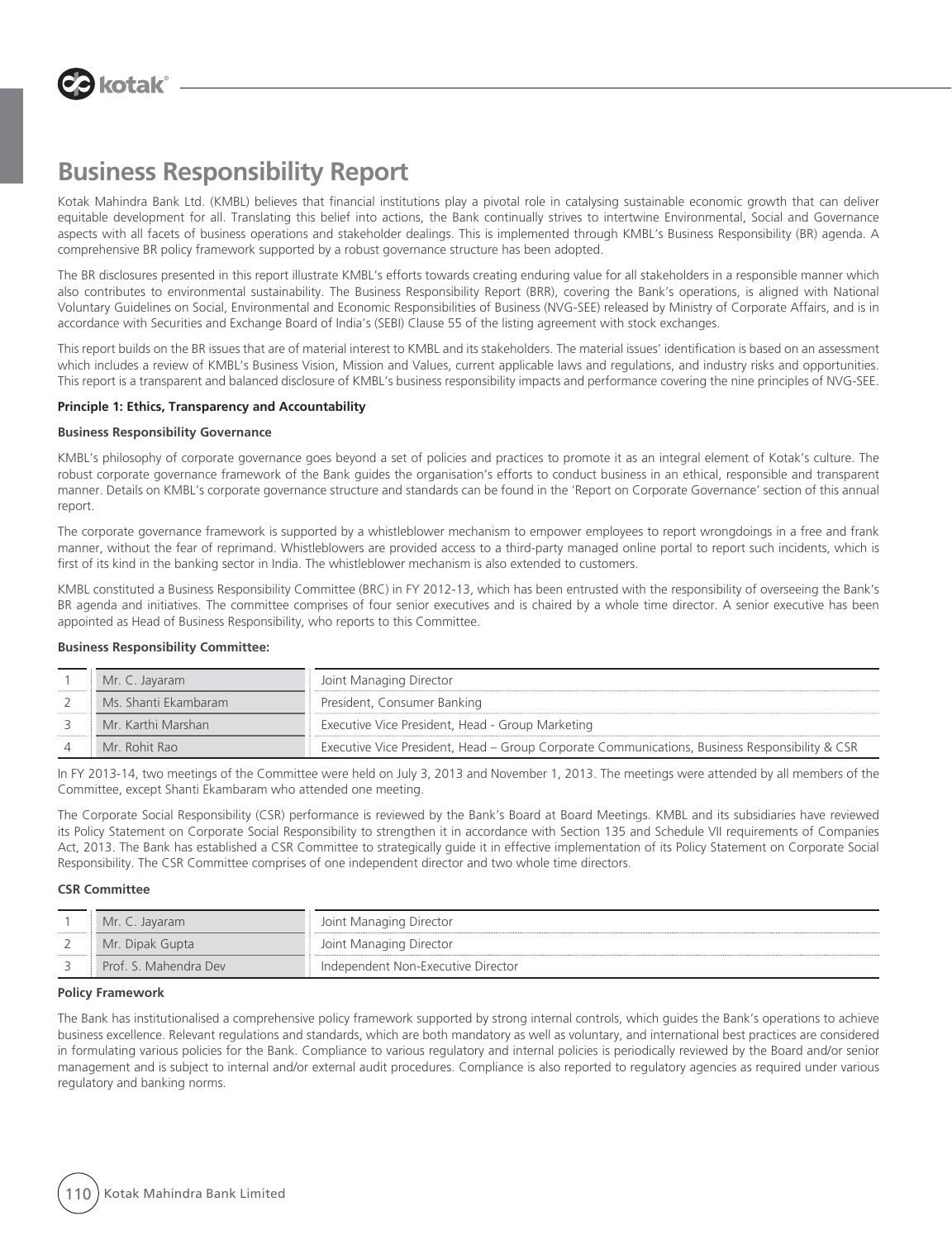

Kotak Mahindra Bank Ltd. (KMBL) believes that financial institutions play a pivotal role in catalysing sustainable economic growth that can deliver equitable development for all. Translating this belief into actions, the Bank continually strives to intertwine Environmental, Social and Governance aspects with all facets of business operations and stakeholder dealings. This is implemented through KMBL's Business Responsibility (BR) agenda. A comprehensive BR policy framework supported by a robust governance structure has been adopted.

The BR disclosures presented in this report illustrate KMBL's efforts towards creating enduring value for all stakeholders in a responsible manner which also contributes to environmental sustainability. The Business Responsibility Report (BRR), covering the Bank's operations, is aligned with National Voluntary Guidelines on Social, Environmental and Economic Responsibilities of Business (NVG-SEE) released by Ministry of Corporate Affairs, and is in accordance with Securities and Exchange Board of India's (SEBI) Clause 55 of the listing agreement with stock exchanges.

This report builds on the BR issues that are of material interest to KMBL and its stakeholders. The material issues' identification is based on an assessment which includes a review of KMBL's Business Vision, Mission and Values, current applicable laws and regulations, and industry risks and opportunities. This report is a transparent and balanced disclosure of KMBL's business responsibility impacts and performance covering the nine principles of NVG-SEE.

#### **Principle 1: Ethics, Transparency and Accountability**

#### **Business Responsibility Governance**

KMBL's philosophy of corporate governance goes beyond a set of policies and practices to promote it as an integral element of Kotak's culture. The robust corporate governance framework of the Bank guides the organisation's efforts to conduct business in an ethical, responsible and transparent manner. Details on KMBL's corporate governance structure and standards can be found in the 'Report on Corporate Governance' section of this annual report.

The corporate governance framework is supported by a whistleblower mechanism to empower employees to report wrongdoings in a free and frank manner, without the fear of reprimand. Whistleblowers are provided access to a third-party managed online portal to report such incidents, which is first of its kind in the banking sector in India. The whistleblower mechanism is also extended to customers.

KMBL constituted a Business Responsibility Committee (BRC) in FY 2012-13, which has been entrusted with the responsibility of overseeing the Bank's BR agenda and initiatives. The committee comprises of four senior executives and is chaired by a whole time director. A senior executive has been appointed as Head of Business Responsibility, who reports to this Committee.

#### **Business Responsibility Committee:**

| Mr. C. Jayaram       | Joint Managing Director                                                                        |
|----------------------|------------------------------------------------------------------------------------------------|
| Ms. Shanti Ekambaram | President, Consumer Banking                                                                    |
| Mr. Karthi Marshan   | Executive Vice President, Head - Group Marketing                                               |
| Mr. Rohit Rao        | Executive Vice President, Head - Group Corporate Communications, Business Responsibility & CSR |

In FY 2013-14, two meetings of the Committee were held on July 3, 2013 and November 1, 2013. The meetings were attended by all members of the Committee, except Shanti Ekambaram who attended one meeting.

The Corporate Social Responsibility (CSR) performance is reviewed by the Bank's Board at Board Meetings. KMBL and its subsidiaries have reviewed its Policy Statement on Corporate Social Responsibility to strengthen it in accordance with Section 135 and Schedule VII requirements of Companies Act, 2013. The Bank has established a CSR Committee to strategically guide it in effective implementation of its Policy Statement on Corporate Social Responsibility. The CSR Committee comprises of one independent director and two whole time directors.

#### **CSR Committee**

|                  | Mr. C. Javaram        | Joint Managing Director            |
|------------------|-----------------------|------------------------------------|
|                  | Mr. Dipak Gupta       | Joint Managing Director            |
| ---------------- | Prof. S. Mahendra Dev | Independent Non-Executive Director |

#### **Policy Framework**

The Bank has institutionalised a comprehensive policy framework supported by strong internal controls, which guides the Bank's operations to achieve business excellence. Relevant regulations and standards, which are both mandatory as well as voluntary, and international best practices are considered in formulating various policies for the Bank. Compliance to various regulatory and internal policies is periodically reviewed by the Board and/or senior management and is subject to internal and/or external audit procedures. Compliance is also reported to regulatory agencies as required under various regulatory and banking norms.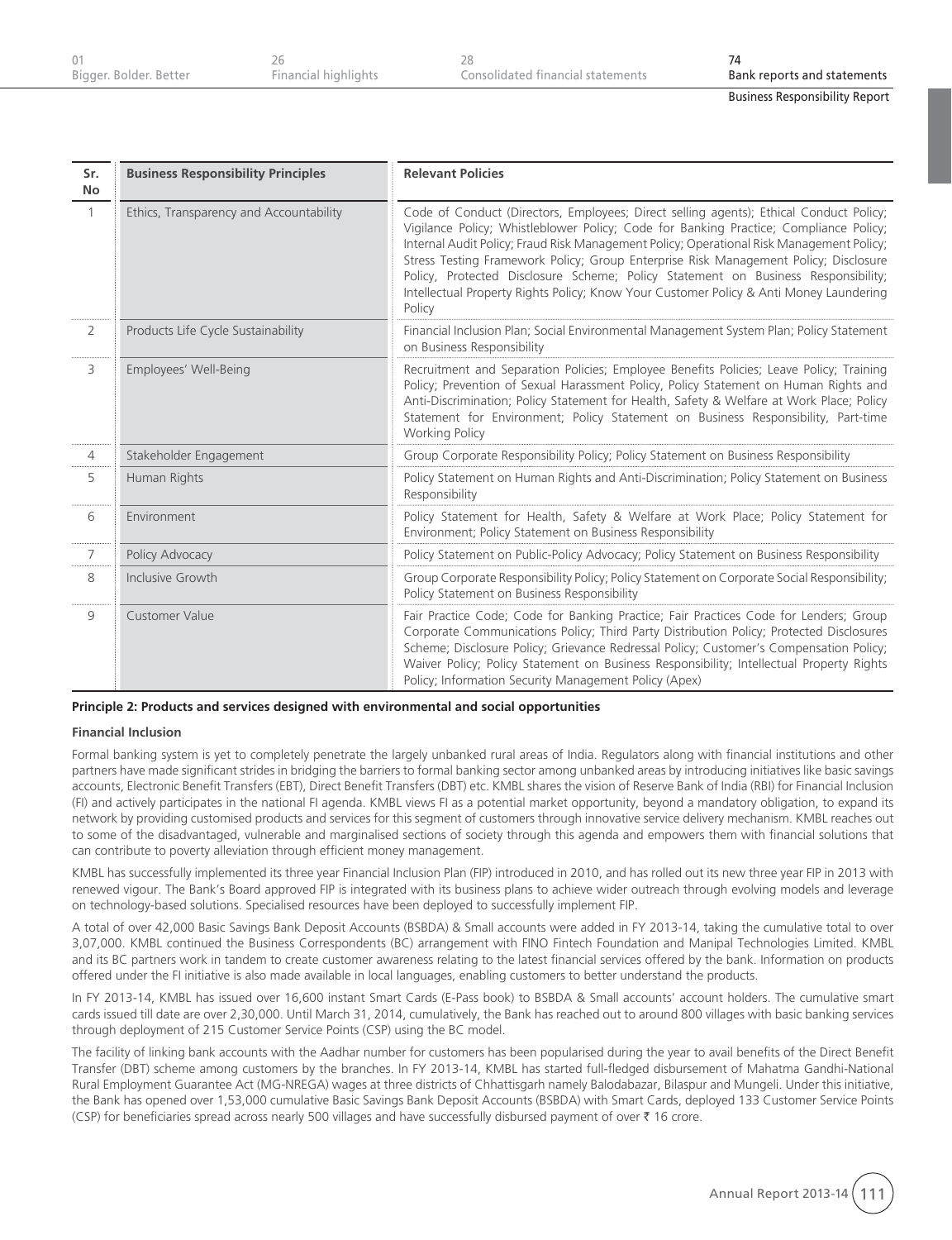| Bigger. Bolder. Better | Financial highlights | Consolidated financial statements | Bank reports and statements |
|------------------------|----------------------|-----------------------------------|-----------------------------|

| Sr.<br><b>No</b> | <b>Business Responsibility Principles</b> | <b>Relevant Policies</b>                                                                                                                                                                                                                                                                                                                                                                                                                                                                                                                                     |
|------------------|-------------------------------------------|--------------------------------------------------------------------------------------------------------------------------------------------------------------------------------------------------------------------------------------------------------------------------------------------------------------------------------------------------------------------------------------------------------------------------------------------------------------------------------------------------------------------------------------------------------------|
| $\mathbf{1}$     | Ethics, Transparency and Accountability   | Code of Conduct (Directors, Employees; Direct selling agents); Ethical Conduct Policy;<br>Vigilance Policy; Whistleblower Policy; Code for Banking Practice; Compliance Policy;<br>Internal Audit Policy; Fraud Risk Management Policy; Operational Risk Management Policy;<br>Stress Testing Framework Policy; Group Enterprise Risk Management Policy; Disclosure<br>Policy, Protected Disclosure Scheme; Policy Statement on Business Responsibility;<br>Intellectual Property Rights Policy; Know Your Customer Policy & Anti Money Laundering<br>Policy |
| $\overline{2}$   | Products Life Cycle Sustainability        | Financial Inclusion Plan; Social Environmental Management System Plan; Policy Statement<br>on Business Responsibility                                                                                                                                                                                                                                                                                                                                                                                                                                        |
| 3                | Employees' Well-Being                     | Recruitment and Separation Policies; Employee Benefits Policies; Leave Policy; Training<br>Policy; Prevention of Sexual Harassment Policy, Policy Statement on Human Rights and<br>Anti-Discrimination; Policy Statement for Health, Safety & Welfare at Work Place; Policy<br>Statement for Environment; Policy Statement on Business Responsibility, Part-time<br><b>Working Policy</b>                                                                                                                                                                    |
| $\overline{4}$   | Stakeholder Engagement                    | Group Corporate Responsibility Policy; Policy Statement on Business Responsibility                                                                                                                                                                                                                                                                                                                                                                                                                                                                           |
| 5                | Human Rights                              | Policy Statement on Human Rights and Anti-Discrimination; Policy Statement on Business<br>Responsibility                                                                                                                                                                                                                                                                                                                                                                                                                                                     |
| 6                | Environment                               | Policy Statement for Health, Safety & Welfare at Work Place; Policy Statement for<br>Environment; Policy Statement on Business Responsibility                                                                                                                                                                                                                                                                                                                                                                                                                |
| $\overline{7}$   | Policy Advocacy                           | Policy Statement on Public-Policy Advocacy; Policy Statement on Business Responsibility                                                                                                                                                                                                                                                                                                                                                                                                                                                                      |
| 8                | Inclusive Growth                          | Group Corporate Responsibility Policy; Policy Statement on Corporate Social Responsibility;<br>Policy Statement on Business Responsibility                                                                                                                                                                                                                                                                                                                                                                                                                   |
| 9                | Customer Value                            | Fair Practice Code; Code for Banking Practice; Fair Practices Code for Lenders; Group<br>Corporate Communications Policy; Third Party Distribution Policy; Protected Disclosures<br>Scheme; Disclosure Policy; Grievance Redressal Policy; Customer's Compensation Policy;<br>Waiver Policy; Policy Statement on Business Responsibility; Intellectual Property Rights<br>Policy; Information Security Management Policy (Apex)                                                                                                                              |

**Principle 2: Products and services designed with environmental and social opportunities**

#### **Financial Inclusion**

Formal banking system is yet to completely penetrate the largely unbanked rural areas of India. Regulators along with financial institutions and other partners have made significant strides in bridging the barriers to formal banking sector among unbanked areas by introducing initiatives like basic savings accounts, Electronic Benefit Transfers (EBT), Direct Benefit Transfers (DBT) etc. KMBL shares the vision of Reserve Bank of India (RBI) for Financial Inclusion (FI) and actively participates in the national FI agenda. KMBL views FI as a potential market opportunity, beyond a mandatory obligation, to expand its network by providing customised products and services for this segment of customers through innovative service delivery mechanism. KMBL reaches out to some of the disadvantaged, vulnerable and marginalised sections of society through this agenda and empowers them with financial solutions that can contribute to poverty alleviation through efficient money management.

KMBL has successfully implemented its three year Financial Inclusion Plan (FIP) introduced in 2010, and has rolled out its new three year FIP in 2013 with renewed vigour. The Bank's Board approved FIP is integrated with its business plans to achieve wider outreach through evolving models and leverage on technology-based solutions. Specialised resources have been deployed to successfully implement FIP.

A total of over 42,000 Basic Savings Bank Deposit Accounts (BSBDA) & Small accounts were added in FY 2013-14, taking the cumulative total to over 3,07,000. KMBL continued the Business Correspondents (BC) arrangement with FINO Fintech Foundation and Manipal Technologies Limited. KMBL and its BC partners work in tandem to create customer awareness relating to the latest financial services offered by the bank. Information on products offered under the FI initiative is also made available in local languages, enabling customers to better understand the products.

In FY 2013-14, KMBL has issued over 16,600 instant Smart Cards (E-Pass book) to BSBDA & Small accounts' account holders. The cumulative smart cards issued till date are over 2,30,000. Until March 31, 2014, cumulatively, the Bank has reached out to around 800 villages with basic banking services through deployment of 215 Customer Service Points (CSP) using the BC model.

The facility of linking bank accounts with the Aadhar number for customers has been popularised during the year to avail benefits of the Direct Benefit Transfer (DBT) scheme among customers by the branches. In FY 2013-14, KMBL has started full-fledged disbursement of Mahatma Gandhi-National Rural Employment Guarantee Act (MG-NREGA) wages at three districts of Chhattisgarh namely Balodabazar, Bilaspur and Mungeli. Under this initiative, the Bank has opened over 1,53,000 cumulative Basic Savings Bank Deposit Accounts (BSBDA) with Smart Cards, deployed 133 Customer Service Points (CSP) for beneficiaries spread across nearly 500 villages and have successfully disbursed payment of over  $\bar{\tau}$  16 crore.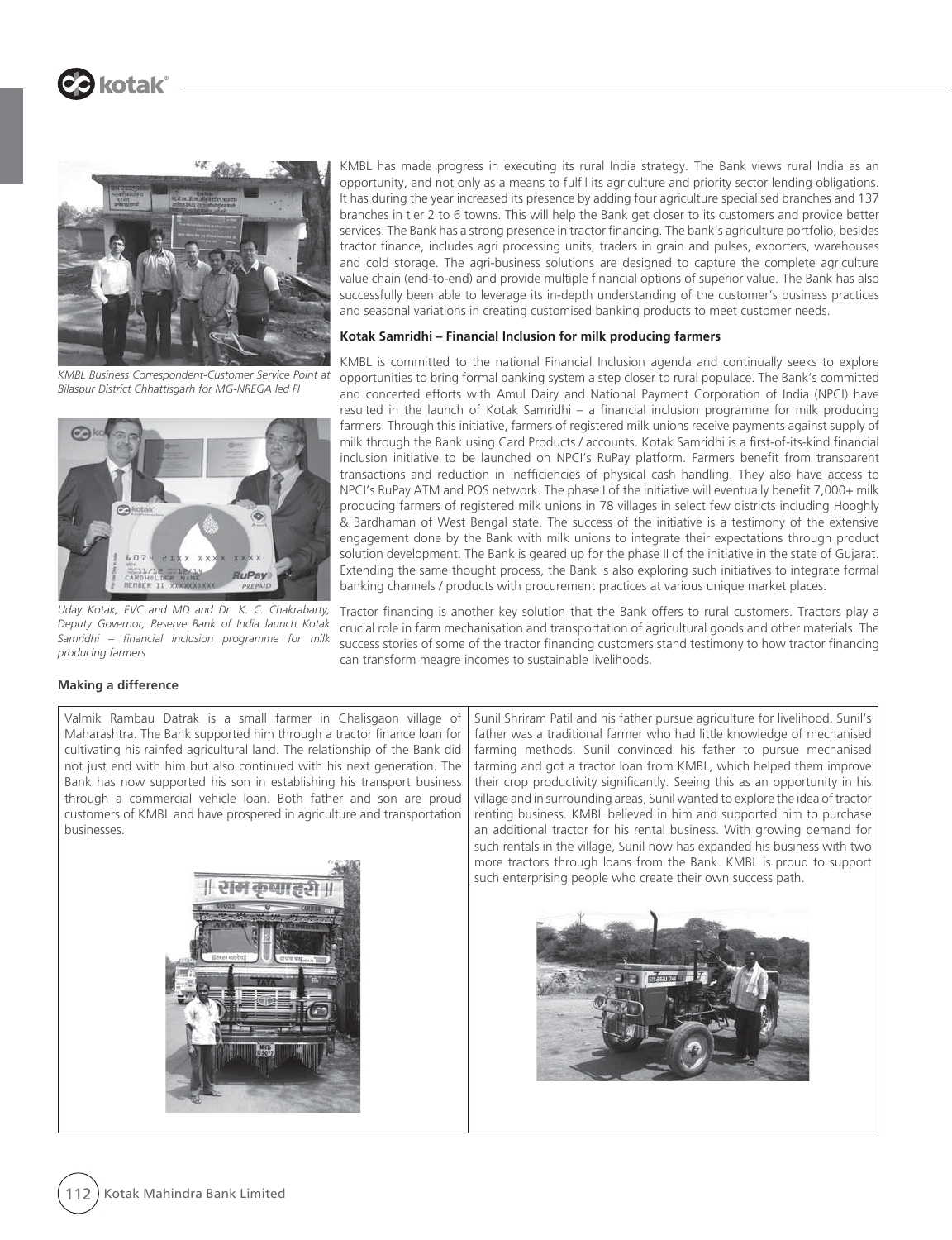

*KMBL Business Correspondent-Customer Service Point at Bilaspur District Chhattisgarh for MG-NREGA led FI*



*Uday Kotak, EVC and MD and Dr. K. C. Chakrabarty, Deputy Governor, Reserve Bank of India launch Kotak Samridhi – financial inclusion programme for milk producing farmers*

KMBL has made progress in executing its rural India strategy. The Bank views rural India as an opportunity, and not only as a means to fulfil its agriculture and priority sector lending obligations. It has during the year increased its presence by adding four agriculture specialised branches and 137 branches in tier 2 to 6 towns. This will help the Bank get closer to its customers and provide better services. The Bank has a strong presence in tractor financing. The bank's agriculture portfolio, besides tractor finance, includes agri processing units, traders in grain and pulses, exporters, warehouses and cold storage. The agri-business solutions are designed to capture the complete agriculture value chain (end-to-end) and provide multiple financial options of superior value. The Bank has also successfully been able to leverage its in-depth understanding of the customer's business practices and seasonal variations in creating customised banking products to meet customer needs.

#### **Kotak Samridhi – Financial Inclusion for milk producing farmers**

KMBL is committed to the national Financial Inclusion agenda and continually seeks to explore opportunities to bring formal banking system a step closer to rural populace. The Bank's committed and concerted efforts with Amul Dairy and National Payment Corporation of India (NPCI) have resulted in the launch of Kotak Samridhi – a financial inclusion programme for milk producing farmers. Through this initiative, farmers of registered milk unions receive payments against supply of milk through the Bank using Card Products / accounts. Kotak Samridhi is a first-of-its-kind financial inclusion initiative to be launched on NPCI's RuPay platform. Farmers benefit from transparent transactions and reduction in inefficiencies of physical cash handling. They also have access to NPCI's RuPay ATM and POS network. The phase I of the initiative will eventually benefit 7,000+ milk producing farmers of registered milk unions in 78 villages in select few districts including Hooghly & Bardhaman of West Bengal state. The success of the initiative is a testimony of the extensive engagement done by the Bank with milk unions to integrate their expectations through product solution development. The Bank is geared up for the phase II of the initiative in the state of Gujarat. Extending the same thought process, the Bank is also exploring such initiatives to integrate formal banking channels / products with procurement practices at various unique market places.

Tractor financing is another key solution that the Bank offers to rural customers. Tractors play a crucial role in farm mechanisation and transportation of agricultural goods and other materials. The success stories of some of the tractor financing customers stand testimony to how tractor financing can transform meagre incomes to sustainable livelihoods.

#### **Making a difference**

Valmik Rambau Datrak is a small farmer in Chalisgaon village of Maharashtra. The Bank supported him through a tractor finance loan for cultivating his rainfed agricultural land. The relationship of the Bank did not just end with him but also continued with his next generation. The Bank has now supported his son in establishing his transport business through a commercial vehicle loan. Both father and son are proud customers of KMBL and have prospered in agriculture and transportation businesses.



Sunil Shriram Patil and his father pursue agriculture for livelihood. Sunil's father was a traditional farmer who had little knowledge of mechanised farming methods. Sunil convinced his father to pursue mechanised farming and got a tractor loan from KMBL, which helped them improve their crop productivity significantly. Seeing this as an opportunity in his village and in surrounding areas, Sunil wanted to explore the idea of tractor renting business. KMBL believed in him and supported him to purchase an additional tractor for his rental business. With growing demand for such rentals in the village, Sunil now has expanded his business with two more tractors through loans from the Bank. KMBL is proud to support such enterprising people who create their own success path.

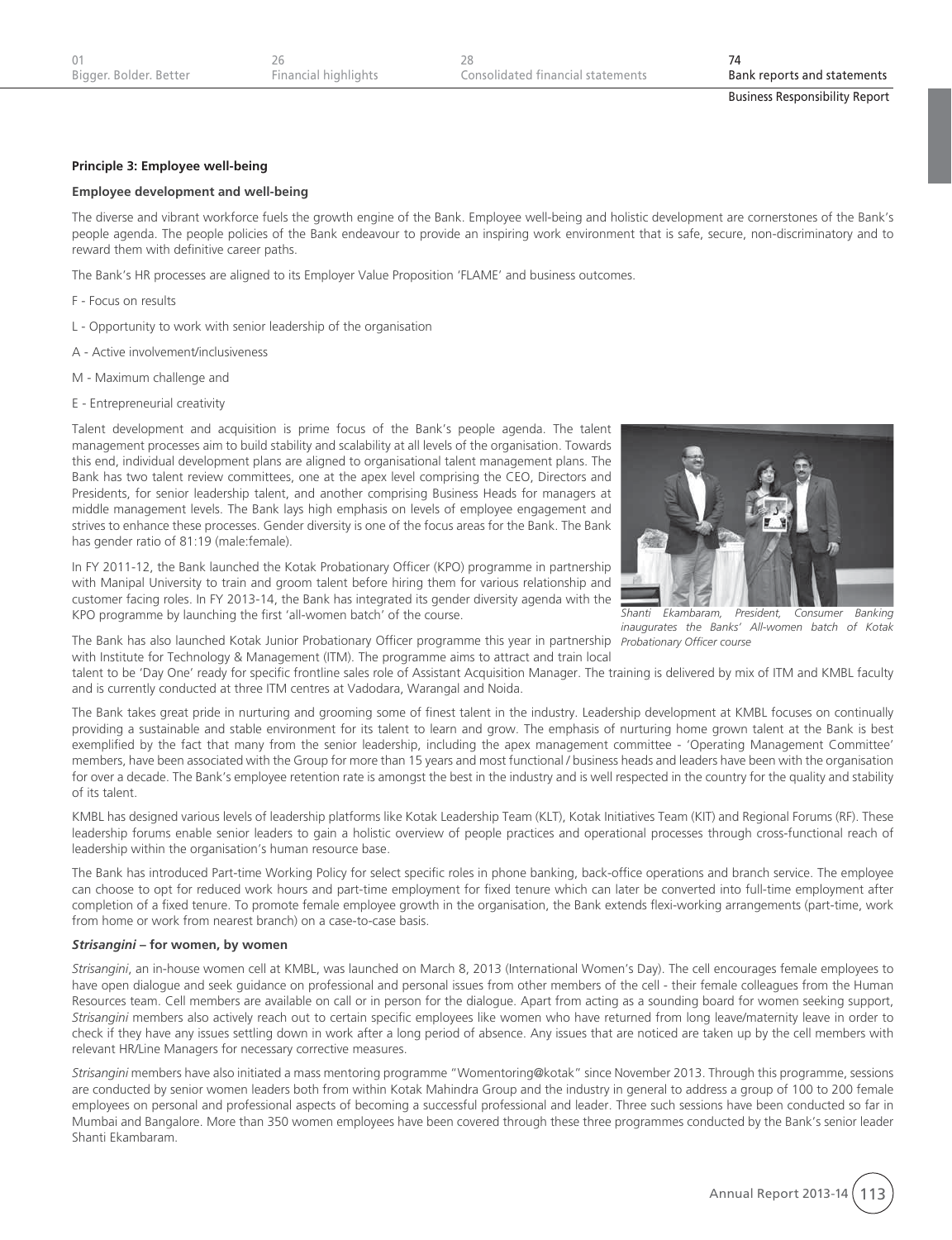## **Principle 3: Employee well-being**

#### **Employee development and well-being**

The diverse and vibrant workforce fuels the growth engine of the Bank. Employee well-being and holistic development are cornerstones of the Bank's people agenda. The people policies of the Bank endeavour to provide an inspiring work environment that is safe, secure, non-discriminatory and to reward them with definitive career paths.

The Bank's HR processes are aligned to its Employer Value Proposition 'FLAME' and business outcomes.

F - Focus on results

- L Opportunity to work with senior leadership of the organisation
- A Active involvement/inclusiveness
- M Maximum challenge and
- E Entrepreneurial creativity

Talent development and acquisition is prime focus of the Bank's people agenda. The talent management processes aim to build stability and scalability at all levels of the organisation. Towards this end, individual development plans are aligned to organisational talent management plans. The Bank has two talent review committees, one at the apex level comprising the CEO, Directors and Presidents, for senior leadership talent, and another comprising Business Heads for managers at middle management levels. The Bank lays high emphasis on levels of employee engagement and strives to enhance these processes. Gender diversity is one of the focus areas for the Bank. The Bank has gender ratio of 81:19 (male:female).



*Shanti Ekambaram, President, Consumer Banking inaugurates the Banks' All-women batch of Kotak* 

In FY 2011-12, the Bank launched the Kotak Probationary Officer (KPO) programme in partnership with Manipal University to train and groom talent before hiring them for various relationship and customer facing roles. In FY 2013-14, the Bank has integrated its gender diversity agenda with the KPO programme by launching the first 'all-women batch' of the course.

The Bank has also launched Kotak Junior Probationary Officer programme this year in partnership *Probationary Officer course*with Institute for Technology & Management (ITM). The programme aims to attract and train local

talent to be 'Day One' ready for specific frontline sales role of Assistant Acquisition Manager. The training is delivered by mix of ITM and KMBL faculty and is currently conducted at three ITM centres at Vadodara, Warangal and Noida.

The Bank takes great pride in nurturing and grooming some of finest talent in the industry. Leadership development at KMBL focuses on continually providing a sustainable and stable environment for its talent to learn and grow. The emphasis of nurturing home grown talent at the Bank is best exemplified by the fact that many from the senior leadership, including the apex management committee - 'Operating Management Committee' members, have been associated with the Group for more than 15 years and most functional / business heads and leaders have been with the organisation for over a decade. The Bank's employee retention rate is amongst the best in the industry and is well respected in the country for the quality and stability of its talent.

KMBL has designed various levels of leadership platforms like Kotak Leadership Team (KLT), Kotak Initiatives Team (KIT) and Regional Forums (RF). These leadership forums enable senior leaders to gain a holistic overview of people practices and operational processes through cross-functional reach of leadership within the organisation's human resource base.

The Bank has introduced Part-time Working Policy for select specific roles in phone banking, back-office operations and branch service. The employee can choose to opt for reduced work hours and part-time employment for fixed tenure which can later be converted into full-time employment after completion of a fixed tenure. To promote female employee growth in the organisation, the Bank extends flexi-working arrangements (part-time, work from home or work from nearest branch) on a case-to-case basis.

#### *Strisangini* **– for women, by women**

*Strisangini*, an in-house women cell at KMBL, was launched on March 8, 2013 (International Women's Day). The cell encourages female employees to have open dialogue and seek guidance on professional and personal issues from other members of the cell - their female colleagues from the Human Resources team. Cell members are available on call or in person for the dialogue. Apart from acting as a sounding board for women seeking support, *Strisangini* members also actively reach out to certain specific employees like women who have returned from long leave/maternity leave in order to check if they have any issues settling down in work after a long period of absence. Any issues that are noticed are taken up by the cell members with relevant HR/Line Managers for necessary corrective measures.

*Strisangini* members have also initiated a mass mentoring programme "Womentoring@kotak" since November 2013. Through this programme, sessions are conducted by senior women leaders both from within Kotak Mahindra Group and the industry in general to address a group of 100 to 200 female employees on personal and professional aspects of becoming a successful professional and leader. Three such sessions have been conducted so far in Mumbai and Bangalore. More than 350 women employees have been covered through these three programmes conducted by the Bank's senior leader Shanti Ekambaram.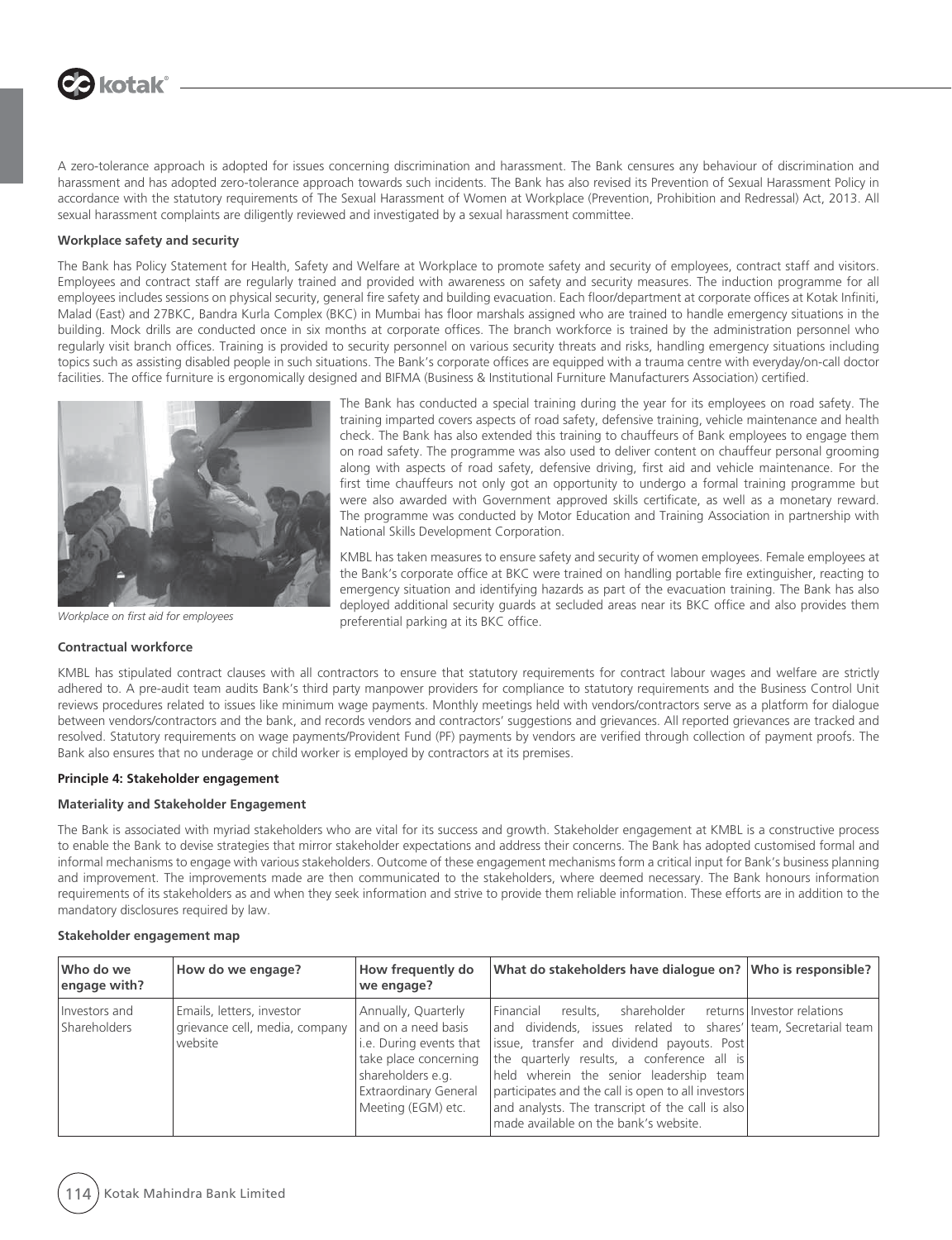# **J** kotak®

A zero-tolerance approach is adopted for issues concerning discrimination and harassment. The Bank censures any behaviour of discrimination and harassment and has adopted zero-tolerance approach towards such incidents. The Bank has also revised its Prevention of Sexual Harassment Policy in accordance with the statutory requirements of The Sexual Harassment of Women at Workplace (Prevention, Prohibition and Redressal) Act, 2013. All sexual harassment complaints are diligently reviewed and investigated by a sexual harassment committee.

#### **Workplace safety and security**

The Bank has Policy Statement for Health, Safety and Welfare at Workplace to promote safety and security of employees, contract staff and visitors. Employees and contract staff are regularly trained and provided with awareness on safety and security measures. The induction programme for all employees includes sessions on physical security, general fire safety and building evacuation. Each floor/department at corporate offices at Kotak Infiniti, Malad (East) and 27BKC, Bandra Kurla Complex (BKC) in Mumbai has floor marshals assigned who are trained to handle emergency situations in the building. Mock drills are conducted once in six months at corporate offices. The branch workforce is trained by the administration personnel who regularly visit branch offices. Training is provided to security personnel on various security threats and risks, handling emergency situations including topics such as assisting disabled people in such situations. The Bank's corporate offices are equipped with a trauma centre with everyday/on-call doctor facilities. The office furniture is ergonomically designed and BIFMA (Business & Institutional Furniture Manufacturers Association) certified.



*Workplace on first aid for employees*

#### **Contractual workforce**

The Bank has conducted a special training during the year for its employees on road safety. The training imparted covers aspects of road safety, defensive training, vehicle maintenance and health check. The Bank has also extended this training to chauffeurs of Bank employees to engage them on road safety. The programme was also used to deliver content on chauffeur personal grooming along with aspects of road safety, defensive driving, first aid and vehicle maintenance. For the first time chauffeurs not only got an opportunity to undergo a formal training programme but were also awarded with Government approved skills certificate, as well as a monetary reward. The programme was conducted by Motor Education and Training Association in partnership with National Skills Development Corporation.

KMBL has taken measures to ensure safety and security of women employees. Female employees at the Bank's corporate office at BKC were trained on handling portable fire extinguisher, reacting to emergency situation and identifying hazards as part of the evacuation training. The Bank has also deployed additional security guards at secluded areas near its BKC office and also provides them preferential parking at its BKC office.

KMBL has stipulated contract clauses with all contractors to ensure that statutory requirements for contract labour wages and welfare are strictly adhered to. A pre-audit team audits Bank's third party manpower providers for compliance to statutory requirements and the Business Control Unit reviews procedures related to issues like minimum wage payments. Monthly meetings held with vendors/contractors serve as a platform for dialogue between vendors/contractors and the bank, and records vendors and contractors' suggestions and grievances. All reported grievances are tracked and resolved. Statutory requirements on wage payments/Provident Fund (PF) payments by vendors are verified through collection of payment proofs. The Bank also ensures that no underage or child worker is employed by contractors at its premises.

#### **Principle 4: Stakeholder engagement**

#### **Materiality and Stakeholder Engagement**

The Bank is associated with myriad stakeholders who are vital for its success and growth. Stakeholder engagement at KMBL is a constructive process to enable the Bank to devise strategies that mirror stakeholder expectations and address their concerns. The Bank has adopted customised formal and informal mechanisms to engage with various stakeholders. Outcome of these engagement mechanisms form a critical input for Bank's business planning and improvement. The improvements made are then communicated to the stakeholders, where deemed necessary. The Bank honours information requirements of its stakeholders as and when they seek information and strive to provide them reliable information. These efforts are in addition to the mandatory disclosures required by law.

#### **Stakeholder engagement map**

| Who do we<br>engage with?     | How do we engage?                                                                          | How frequently do<br>we engage?                                                                                         | What do stakeholders have dialoque on? Who is responsible?                                                                                                                                                                                                                                                                                                                                                                                              |  |
|-------------------------------|--------------------------------------------------------------------------------------------|-------------------------------------------------------------------------------------------------------------------------|---------------------------------------------------------------------------------------------------------------------------------------------------------------------------------------------------------------------------------------------------------------------------------------------------------------------------------------------------------------------------------------------------------------------------------------------------------|--|
| Investors and<br>Shareholders | Emails, letters, investor<br>grievance cell, media, company and on a need basis<br>website | Annually, Quarterly<br>take place concerning<br>shareholders e.g.<br><b>Extraordinary General</b><br>Meeting (EGM) etc. | shareholder returns Investor relations<br>l Financial<br>results.<br>and dividends, issues related to shares' team, Secretarial team<br>i.e. During events that lissue, transfer and dividend payouts. Post<br>the quarterly results, a conference all is<br>held wherein the senior leadership team<br>participates and the call is open to all investors<br>and analysts. The transcript of the call is also<br>made available on the bank's website. |  |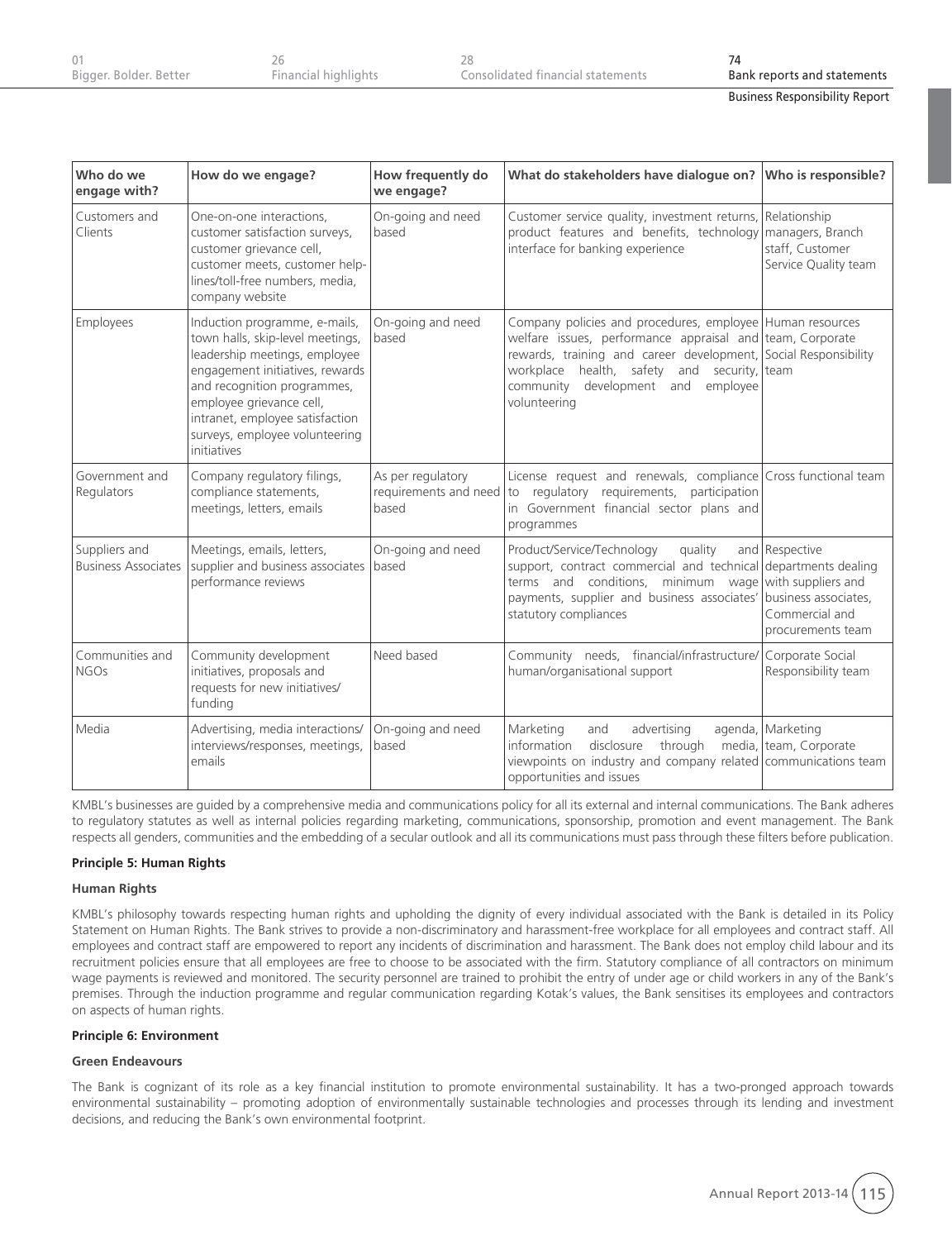| Bigger. Bolder. Better | Financial highlights | Consolidated financial statements | Bank reports and statements |
|------------------------|----------------------|-----------------------------------|-----------------------------|

| <b>Business Responsibility Report</b> |  |
|---------------------------------------|--|
|                                       |  |

| Who do we<br>engage with?                   | How do we engage?                                                                                                                                                                                                                                                                    | How frequently do<br>we engage?                     | What do stakeholders have dialogue on?                                                                                                                                                                                                                                                         | Who is responsible?                                         |
|---------------------------------------------|--------------------------------------------------------------------------------------------------------------------------------------------------------------------------------------------------------------------------------------------------------------------------------------|-----------------------------------------------------|------------------------------------------------------------------------------------------------------------------------------------------------------------------------------------------------------------------------------------------------------------------------------------------------|-------------------------------------------------------------|
| Customers and<br>Clients                    | One-on-one interactions,<br>customer satisfaction surveys,<br>customer grievance cell,<br>customer meets, customer help-<br>lines/toll-free numbers, media,<br>company website                                                                                                       | On-going and need<br>based                          | Customer service quality, investment returns, Relationship<br>product features and benefits, technology<br>interface for banking experience                                                                                                                                                    | managers, Branch<br>staff, Customer<br>Service Quality team |
| Employees                                   | Induction programme, e-mails,<br>town halls, skip-level meetings,<br>leadership meetings, employee<br>engagement initiatives, rewards<br>and recognition programmes,<br>employee grievance cell,<br>intranet, employee satisfaction<br>surveys, employee volunteering<br>initiatives | On-going and need<br>based                          | Company policies and procedures, employee Human resources<br>welfare issues, performance appraisal and team, Corporate<br>rewards, training and career development, Social Responsibility<br>workplace health, safety and security, team<br>community development and employee<br>volunteering |                                                             |
| Government and<br>Regulators                | Company regulatory filings,<br>compliance statements,<br>meetings, letters, emails                                                                                                                                                                                                   | As per regulatory<br>requirements and need<br>based | License request and renewals, compliance Cross functional team<br>to regulatory requirements, participation<br>in Government financial sector plans and<br>programmes                                                                                                                          |                                                             |
| Suppliers and<br><b>Business Associates</b> | Meetings, emails, letters,<br>supplier and business associates<br>performance reviews                                                                                                                                                                                                | On-going and need<br>based                          | quality<br>Product/Service/Technology<br>support, contract commercial and technical departments dealing<br>terms and conditions, minimum wage with suppliers and<br>payments, supplier and business associates' business associates,<br>statutory compliances                                  | and Respective<br>Commercial and<br>procurements team       |
| Communities and<br><b>NGOs</b>              | Community development<br>initiatives, proposals and<br>requests for new initiatives/<br>funding                                                                                                                                                                                      | Need based                                          | Community needs, financial/infrastructure/ Corporate Social<br>human/organisational support                                                                                                                                                                                                    | Responsibility team                                         |
| Media                                       | Advertising, media interactions/<br>interviews/responses, meetings,<br>emails                                                                                                                                                                                                        | On-going and need<br>based                          | Marketing<br>advertising<br>and<br>through<br>information<br>disclosure<br>viewpoints on industry and company related communications team<br>opportunities and issues                                                                                                                          | agenda, Marketing<br>media, team, Corporate                 |

KMBL's businesses are guided by a comprehensive media and communications policy for all its external and internal communications. The Bank adheres to regulatory statutes as well as internal policies regarding marketing, communications, sponsorship, promotion and event management. The Bank respects all genders, communities and the embedding of a secular outlook and all its communications must pass through these filters before publication.

#### **Principle 5: Human Rights**

#### **Human Rights**

KMBL's philosophy towards respecting human rights and upholding the dignity of every individual associated with the Bank is detailed in its Policy Statement on Human Rights. The Bank strives to provide a non-discriminatory and harassment-free workplace for all employees and contract staff. All employees and contract staff are empowered to report any incidents of discrimination and harassment. The Bank does not employ child labour and its recruitment policies ensure that all employees are free to choose to be associated with the firm. Statutory compliance of all contractors on minimum wage payments is reviewed and monitored. The security personnel are trained to prohibit the entry of under age or child workers in any of the Bank's premises. Through the induction programme and regular communication regarding Kotak's values, the Bank sensitises its employees and contractors on aspects of human rights.

#### **Principle 6: Environment**

#### **Green Endeavours**

The Bank is cognizant of its role as a key financial institution to promote environmental sustainability. It has a two-pronged approach towards environmental sustainability – promoting adoption of environmentally sustainable technologies and processes through its lending and investment decisions, and reducing the Bank's own environmental footprint.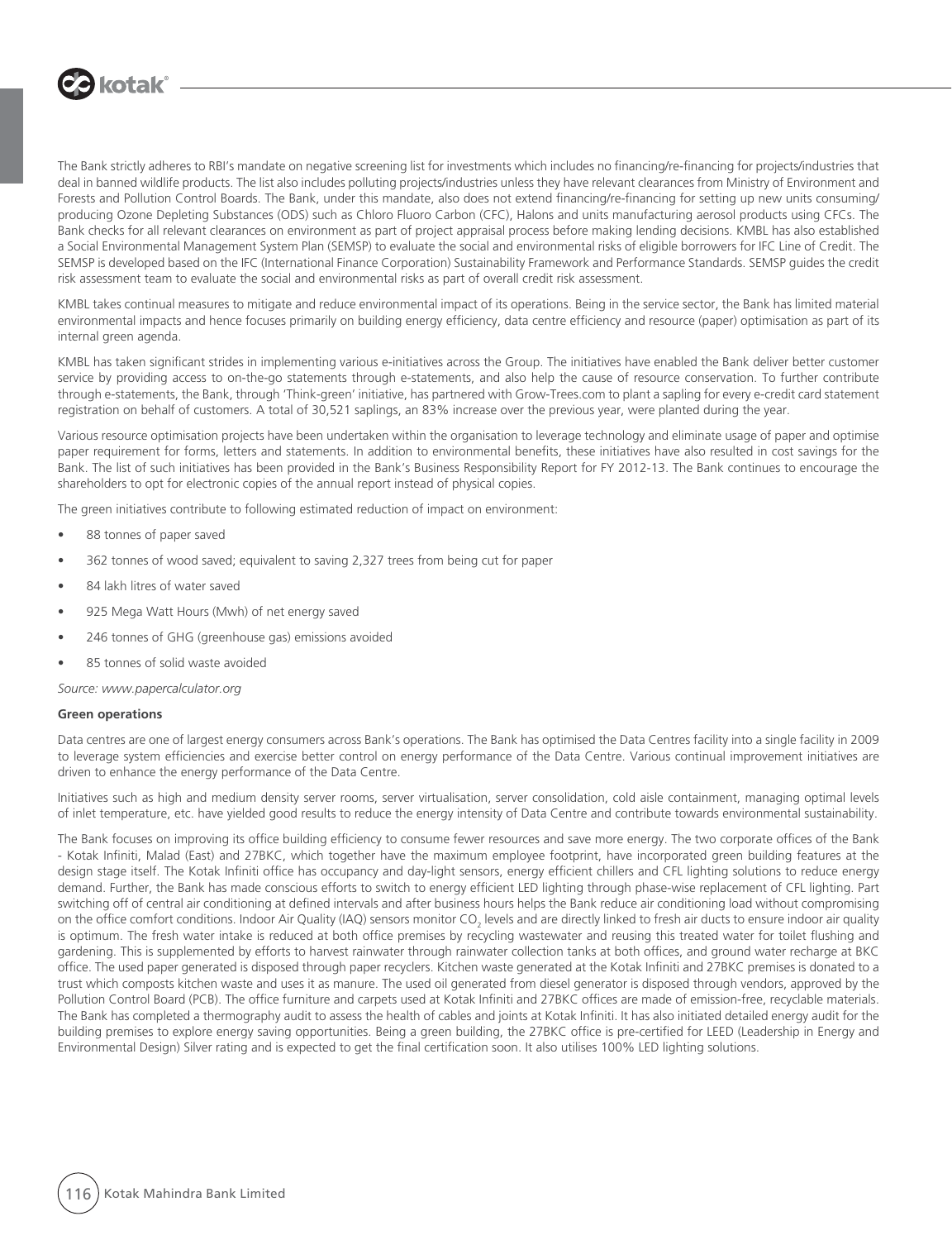

The Bank strictly adheres to RBI's mandate on negative screening list for investments which includes no financing/re-financing for projects/industries that deal in banned wildlife products. The list also includes polluting projects/industries unless they have relevant clearances from Ministry of Environment and Forests and Pollution Control Boards. The Bank, under this mandate, also does not extend financing/re-financing for setting up new units consuming/ producing Ozone Depleting Substances (ODS) such as Chloro Fluoro Carbon (CFC), Halons and units manufacturing aerosol products using CFCs. The Bank checks for all relevant clearances on environment as part of project appraisal process before making lending decisions. KMBL has also established a Social Environmental Management System Plan (SEMSP) to evaluate the social and environmental risks of eligible borrowers for IFC Line of Credit. The SEMSP is developed based on the IFC (International Finance Corporation) Sustainability Framework and Performance Standards. SEMSP guides the credit risk assessment team to evaluate the social and environmental risks as part of overall credit risk assessment.

KMBL takes continual measures to mitigate and reduce environmental impact of its operations. Being in the service sector, the Bank has limited material environmental impacts and hence focuses primarily on building energy efficiency, data centre efficiency and resource (paper) optimisation as part of its internal green agenda.

KMBL has taken significant strides in implementing various e-initiatives across the Group. The initiatives have enabled the Bank deliver better customer service by providing access to on-the-go statements through e-statements, and also help the cause of resource conservation. To further contribute through e-statements, the Bank, through 'Think-green' initiative, has partnered with Grow-Trees.com to plant a sapling for every e-credit card statement registration on behalf of customers. A total of 30,521 saplings, an 83% increase over the previous year, were planted during the year.

Various resource optimisation projects have been undertaken within the organisation to leverage technology and eliminate usage of paper and optimise paper requirement for forms, letters and statements. In addition to environmental benefits, these initiatives have also resulted in cost savings for the Bank. The list of such initiatives has been provided in the Bank's Business Responsibility Report for FY 2012-13. The Bank continues to encourage the shareholders to opt for electronic copies of the annual report instead of physical copies.

The green initiatives contribute to following estimated reduction of impact on environment:

- 88 tonnes of paper saved
- 362 tonnes of wood saved; equivalent to saving 2,327 trees from being cut for paper
- 84 lakh litres of water saved
- 925 Mega Watt Hours (Mwh) of net energy saved
- $\bullet$  246 tonnes of GHG (greenhouse gas) emissions avoided
- 85 tonnes of solid waste avoided

*Source: www.papercalculator.org*

#### **Green operations**

Data centres are one of largest energy consumers across Bank's operations. The Bank has optimised the Data Centres facility into a single facility in 2009 to leverage system efficiencies and exercise better control on energy performance of the Data Centre. Various continual improvement initiatives are driven to enhance the energy performance of the Data Centre.

Initiatives such as high and medium density server rooms, server virtualisation, server consolidation, cold aisle containment, managing optimal levels of inlet temperature, etc. have yielded good results to reduce the energy intensity of Data Centre and contribute towards environmental sustainability.

The Bank focuses on improving its office building efficiency to consume fewer resources and save more energy. The two corporate offices of the Bank - Kotak Infiniti, Malad (East) and 27BKC, which together have the maximum employee footprint, have incorporated green building features at the design stage itself. The Kotak Infiniti office has occupancy and day-light sensors, energy efficient chillers and CFL lighting solutions to reduce energy demand. Further, the Bank has made conscious efforts to switch to energy efficient LED lighting through phase-wise replacement of CFL lighting. Part switching off of central air conditioning at defined intervals and after business hours helps the Bank reduce air conditioning load without compromising on the office comfort conditions. Indoor Air Quality (IAQ) sensors monitor CO<sub>2</sub> levels and are directly linked to fresh air ducts to ensure indoor air quality is optimum. The fresh water intake is reduced at both office premises by recycling wastewater and reusing this treated water for toilet flushing and gardening. This is supplemented by efforts to harvest rainwater through rainwater collection tanks at both offices, and ground water recharge at BKC office. The used paper generated is disposed through paper recyclers. Kitchen waste generated at the Kotak Infiniti and 27BKC premises is donated to a trust which composts kitchen waste and uses it as manure. The used oil generated from diesel generator is disposed through vendors, approved by the Pollution Control Board (PCB). The office furniture and carpets used at Kotak Infiniti and 27BKC offices are made of emission-free, recyclable materials. The Bank has completed a thermography audit to assess the health of cables and joints at Kotak Infiniti. It has also initiated detailed energy audit for the building premises to explore energy saving opportunities. Being a green building, the 27BKC office is pre-certified for LEED (Leadership in Energy and Environmental Design) Silver rating and is expected to get the final certification soon. It also utilises 100% LED lighting solutions.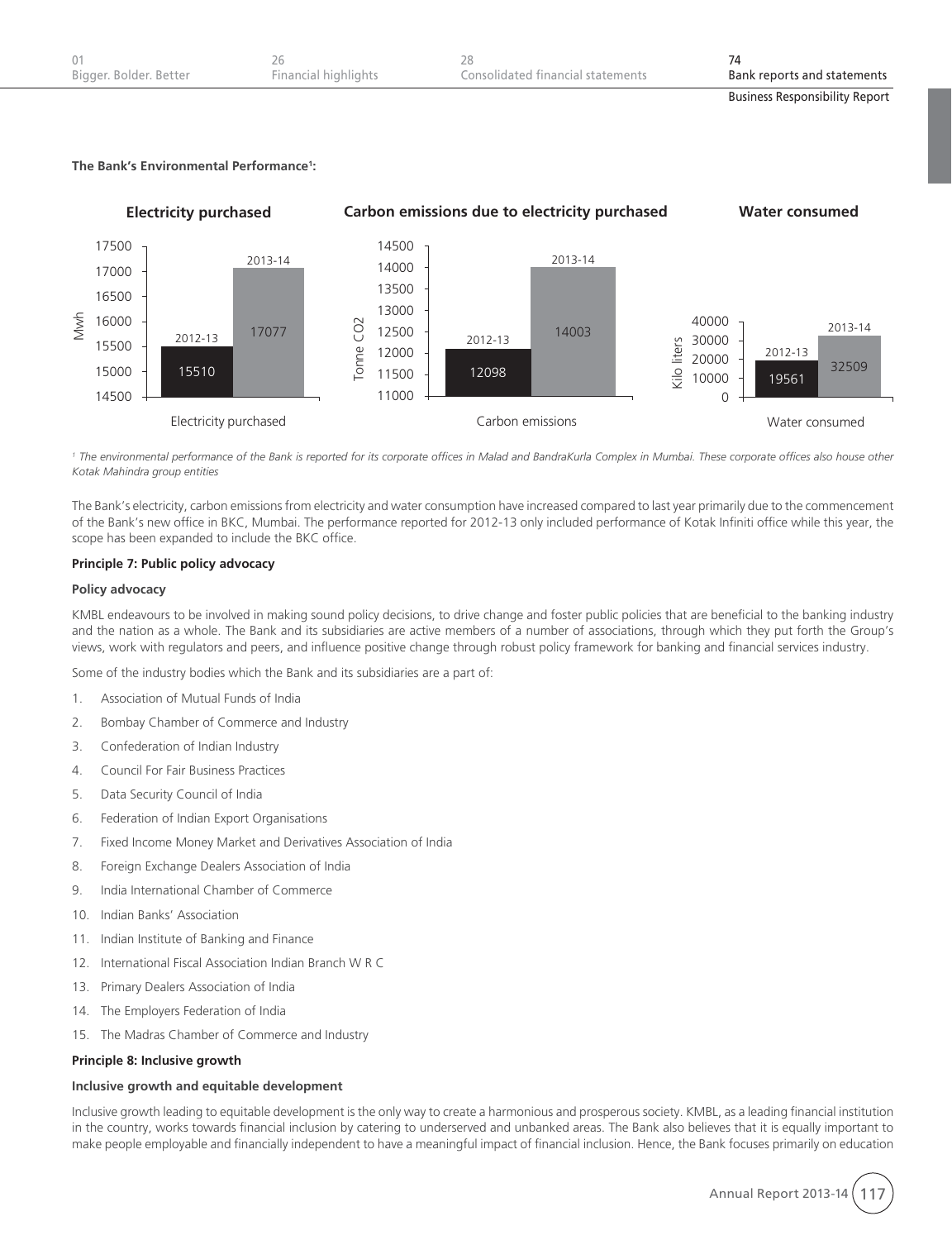| Bigger. Bolder. Better | Financial highlights | Consolidated financial statements | Bank reports and statements           |
|------------------------|----------------------|-----------------------------------|---------------------------------------|
|                        |                      |                                   | <b>Business Responsibility Report</b> |

## **The Bank's Environmental Performance1 :**



<sup>1</sup> The environmental performance of the Bank is reported for its corporate offices in Malad and BandraKurla Complex in Mumbai. These corporate offices also house other *Kotak Mahindra group entities* 

The Bank's electricity, carbon emissions from electricity and water consumption have increased compared to last year primarily due to the commencement of the Bank's new office in BKC, Mumbai. The performance reported for 2012-13 only included performance of Kotak Infiniti office while this year, the scope has been expanded to include the BKC office.

#### **Principle 7: Public policy advocacy**

#### **Policy advocacy**

KMBL endeavours to be involved in making sound policy decisions, to drive change and foster public policies that are beneficial to the banking industry and the nation as a whole. The Bank and its subsidiaries are active members of a number of associations, through which they put forth the Group's views, work with regulators and peers, and influence positive change through robust policy framework for banking and financial services industry.

Some of the industry bodies which the Bank and its subsidiaries are a part of:

- 1. Association of Mutual Funds of India
- 2. Bombay Chamber of Commerce and Industry
- 3. Confederation of Indian Industry
- 4. Council For Fair Business Practices
- 5. Data Security Council of India
- 6. Federation of Indian Export Organisations
- 7. Fixed Income Money Market and Derivatives Association of India
- 8. Foreign Exchange Dealers Association of India
- 9. India International Chamber of Commerce
- 10. Indian Banks' Association
- 11. Indian Institute of Banking and Finance
- 12. International Fiscal Association Indian Branch W R C
- 13. Primary Dealers Association of India
- 14. The Employers Federation of India
- 15. The Madras Chamber of Commerce and Industry

#### **Principle 8: Inclusive growth**

#### **Inclusive growth and equitable development**

Inclusive growth leading to equitable development is the only way to create a harmonious and prosperous society. KMBL, as a leading financial institution in the country, works towards financial inclusion by catering to underserved and unbanked areas. The Bank also believes that it is equally important to make people employable and financially independent to have a meaningful impact of financial inclusion. Hence, the Bank focuses primarily on education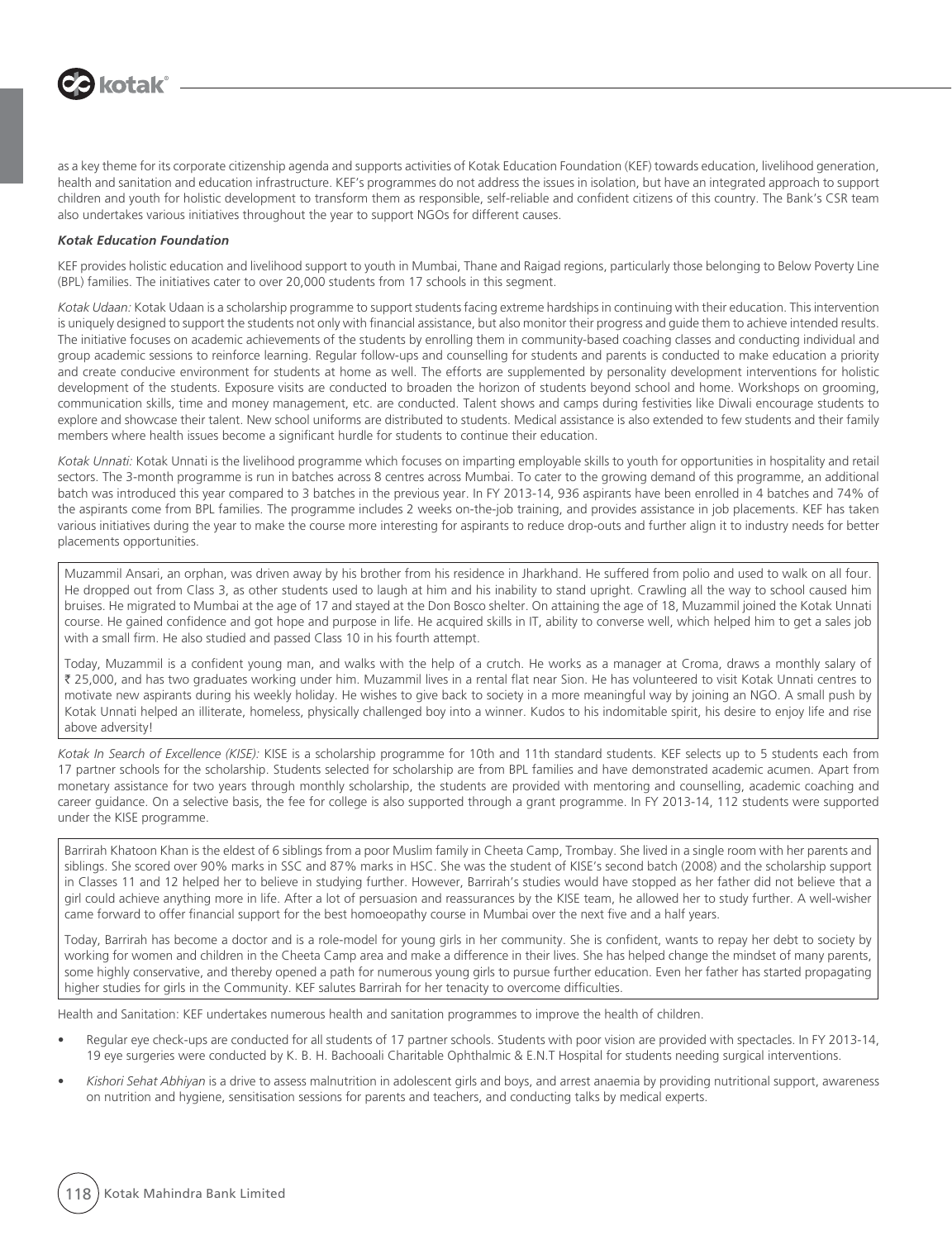

as a key theme for its corporate citizenship agenda and supports activities of Kotak Education Foundation (KEF) towards education, livelihood generation, health and sanitation and education infrastructure. KEF's programmes do not address the issues in isolation, but have an integrated approach to support children and youth for holistic development to transform them as responsible, self-reliable and confident citizens of this country. The Bank's CSR team also undertakes various initiatives throughout the year to support NGOs for different causes.

#### *Kotak Education Foundation*

KEF provides holistic education and livelihood support to youth in Mumbai, Thane and Raigad regions, particularly those belonging to Below Poverty Line (BPL) families. The initiatives cater to over 20,000 students from 17 schools in this segment.

*Kotak Udaan:* Kotak Udaan is a scholarship programme to support students facing extreme hardships in continuing with their education. This intervention is uniquely designed to support the students not only with financial assistance, but also monitor their progress and guide them to achieve intended results. The initiative focuses on academic achievements of the students by enrolling them in community-based coaching classes and conducting individual and group academic sessions to reinforce learning. Regular follow-ups and counselling for students and parents is conducted to make education a priority and create conducive environment for students at home as well. The efforts are supplemented by personality development interventions for holistic development of the students. Exposure visits are conducted to broaden the horizon of students beyond school and home. Workshops on grooming, communication skills, time and money management, etc. are conducted. Talent shows and camps during festivities like Diwali encourage students to explore and showcase their talent. New school uniforms are distributed to students. Medical assistance is also extended to few students and their family members where health issues become a significant hurdle for students to continue their education.

*Kotak Unnati:* Kotak Unnati is the livelihood programme which focuses on imparting employable skills to youth for opportunities in hospitality and retail sectors. The 3-month programme is run in batches across 8 centres across Mumbai. To cater to the growing demand of this programme, an additional batch was introduced this year compared to 3 batches in the previous year. In FY 2013-14, 936 aspirants have been enrolled in 4 batches and 74% of the aspirants come from BPL families. The programme includes 2 weeks on-the-job training, and provides assistance in job placements. KEF has taken various initiatives during the year to make the course more interesting for aspirants to reduce drop-outs and further align it to industry needs for better placements opportunities.

Muzammil Ansari, an orphan, was driven away by his brother from his residence in Jharkhand. He suffered from polio and used to walk on all four. He dropped out from Class 3, as other students used to laugh at him and his inability to stand upright. Crawling all the way to school caused him bruises. He migrated to Mumbai at the age of 17 and stayed at the Don Bosco shelter. On attaining the age of 18, Muzammil joined the Kotak Unnati course. He gained confidence and got hope and purpose in life. He acquired skills in IT, ability to converse well, which helped him to get a sales job with a small firm. He also studied and passed Class 10 in his fourth attempt.

Today, Muzammil is a confident young man, and walks with the help of a crutch. He works as a manager at Croma, draws a monthly salary of ` 25,000, and has two graduates working under him. Muzammil lives in a rental flat near Sion. He has volunteered to visit Kotak Unnati centres to motivate new aspirants during his weekly holiday. He wishes to give back to society in a more meaningful way by joining an NGO. A small push by Kotak Unnati helped an illiterate, homeless, physically challenged boy into a winner. Kudos to his indomitable spirit, his desire to enjoy life and rise above adversity!

*Kotak In Search of Excellence (KISE):* KISE is a scholarship programme for 10th and 11th standard students. KEF selects up to 5 students each from 17 partner schools for the scholarship. Students selected for scholarship are from BPL families and have demonstrated academic acumen. Apart from monetary assistance for two years through monthly scholarship, the students are provided with mentoring and counselling, academic coaching and career guidance. On a selective basis, the fee for college is also supported through a grant programme. In FY 2013-14, 112 students were supported under the KISE programme.

Barrirah Khatoon Khan is the eldest of 6 siblings from a poor Muslim family in Cheeta Camp, Trombay. She lived in a single room with her parents and siblings. She scored over 90% marks in SSC and 87% marks in HSC. She was the student of KISE's second batch (2008) and the scholarship support in Classes 11 and 12 helped her to believe in studying further. However, Barrirah's studies would have stopped as her father did not believe that a girl could achieve anything more in life. After a lot of persuasion and reassurances by the KISE team, he allowed her to study further. A well-wisher came forward to offer financial support for the best homoeopathy course in Mumbai over the next five and a half years.

Today, Barrirah has become a doctor and is a role-model for young girls in her community. She is confident, wants to repay her debt to society by working for women and children in the Cheeta Camp area and make a difference in their lives. She has helped change the mindset of many parents, some highly conservative, and thereby opened a path for numerous young girls to pursue further education. Even her father has started propagating higher studies for girls in the Community. KEF salutes Barrirah for her tenacity to overcome difficulties.

Health and Sanitation: KEF undertakes numerous health and sanitation programmes to improve the health of children.

- Regular eye check-ups are conducted for all students of 17 partner schools. Students with poor vision are provided with spectacles. In FY 2013-14, 19 eye surgeries were conducted by K. B. H. Bachooali Charitable Ophthalmic & E.N.T Hospital for students needing surgical interventions.
- Kishori Sehat Abhiyan is a drive to assess malnutrition in adolescent girls and boys, and arrest anaemia by providing nutritional support, awareness on nutrition and hygiene, sensitisation sessions for parents and teachers, and conducting talks by medical experts.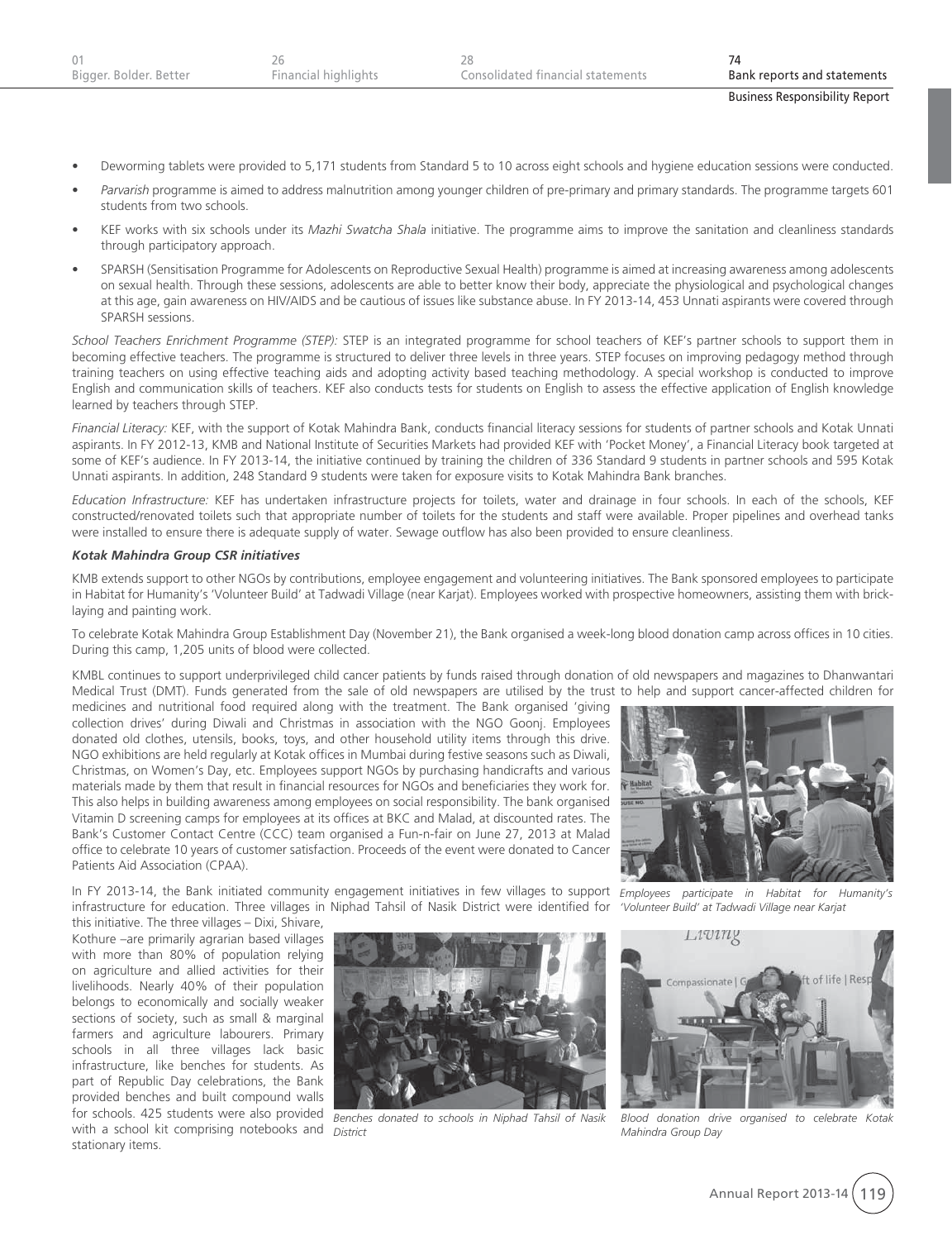- Deworming tablets were provided to 5,171 students from Standard 5 to 10 across eight schools and hygiene education sessions were conducted.
- Parvarish programme is aimed to address malnutrition among younger children of pre-primary and primary standards. The programme targets 601 students from two schools.
- KEF works with six schools under its Mazhi Swatcha Shala initiative. The programme aims to improve the sanitation and cleanliness standards through participatory approach.
- $\bullet$  SPARSH (Sensitisation Programme for Adolescents on Reproductive Sexual Health) programme is aimed at increasing awareness among adolescents on sexual health. Through these sessions, adolescents are able to better know their body, appreciate the physiological and psychological changes at this age, gain awareness on HIV/AIDS and be cautious of issues like substance abuse. In FY 2013-14, 453 Unnati aspirants were covered through SPARSH sessions.

*School Teachers Enrichment Programme (STEP):* STEP is an integrated programme for school teachers of KEF's partner schools to support them in becoming effective teachers. The programme is structured to deliver three levels in three years. STEP focuses on improving pedagogy method through training teachers on using effective teaching aids and adopting activity based teaching methodology. A special workshop is conducted to improve English and communication skills of teachers. KEF also conducts tests for students on English to assess the effective application of English knowledge learned by teachers through STEP.

*Financial Literacy:* KEF, with the support of Kotak Mahindra Bank, conducts financial literacy sessions for students of partner schools and Kotak Unnati aspirants. In FY 2012-13, KMB and National Institute of Securities Markets had provided KEF with 'Pocket Money', a Financial Literacy book targeted at some of KEF's audience. In FY 2013-14, the initiative continued by training the children of 336 Standard 9 students in partner schools and 595 Kotak Unnati aspirants. In addition, 248 Standard 9 students were taken for exposure visits to Kotak Mahindra Bank branches.

*Education Infrastructure:* KEF has undertaken infrastructure projects for toilets, water and drainage in four schools. In each of the schools, KEF constructed/renovated toilets such that appropriate number of toilets for the students and staff were available. Proper pipelines and overhead tanks were installed to ensure there is adequate supply of water. Sewage outflow has also been provided to ensure cleanliness.

#### *Kotak Mahindra Group CSR initiatives*

KMB extends support to other NGOs by contributions, employee engagement and volunteering initiatives. The Bank sponsored employees to participate in Habitat for Humanity's 'Volunteer Build' at Tadwadi Village (near Karjat). Employees worked with prospective homeowners, assisting them with bricklaying and painting work.

To celebrate Kotak Mahindra Group Establishment Day (November 21), the Bank organised a week-long blood donation camp across offices in 10 cities. During this camp, 1,205 units of blood were collected.

KMBL continues to support underprivileged child cancer patients by funds raised through donation of old newspapers and magazines to Dhanwantari Medical Trust (DMT). Funds generated from the sale of old newspapers are utilised by the trust to help and support cancer-affected children for

medicines and nutritional food required along with the treatment. The Bank organised 'giving collection drives' during Diwali and Christmas in association with the NGO Goonj. Employees donated old clothes, utensils, books, toys, and other household utility items through this drive. NGO exhibitions are held regularly at Kotak offices in Mumbai during festive seasons such as Diwali, Christmas, on Women's Day, etc. Employees support NGOs by purchasing handicrafts and various materials made by them that result in financial resources for NGOs and beneficiaries they work for. This also helps in building awareness among employees on social responsibility. The bank organised Vitamin D screening camps for employees at its offices at BKC and Malad, at discounted rates. The Bank's Customer Contact Centre (CCC) team organised a Fun-n-fair on June 27, 2013 at Malad office to celebrate 10 years of customer satisfaction. Proceeds of the event were donated to Cancer Patients Aid Association (CPAA).



In FY 2013-14, the Bank initiated community engagement initiatives in few villages to support *Employees participate in Habitat for Humanity's*  infrastructure for education. Three villages in Niphad Tahsil of Nasik District were identified for

this initiative. The three villages – Dixi, Shivare, Kothure –are primarily agrarian based villages with more than 80% of population relying on agriculture and allied activities for their livelihoods. Nearly 40% of their population belongs to economically and socially weaker sections of society, such as small & marginal farmers and agriculture labourers. Primary schools in all three villages lack basic infrastructure, like benches for students. As part of Republic Day celebrations, the Bank provided benches and built compound walls for schools. 425 students were also provided with a school kit comprising notebooks and *District*stationary items.



*Benches donated to schools in Niphad Tahsil of Nasik* 

*'Volunteer Build' at Tadwadi Village near Karjat*



*Blood donation drive organised to celebrate Kotak Mahindra Group Day*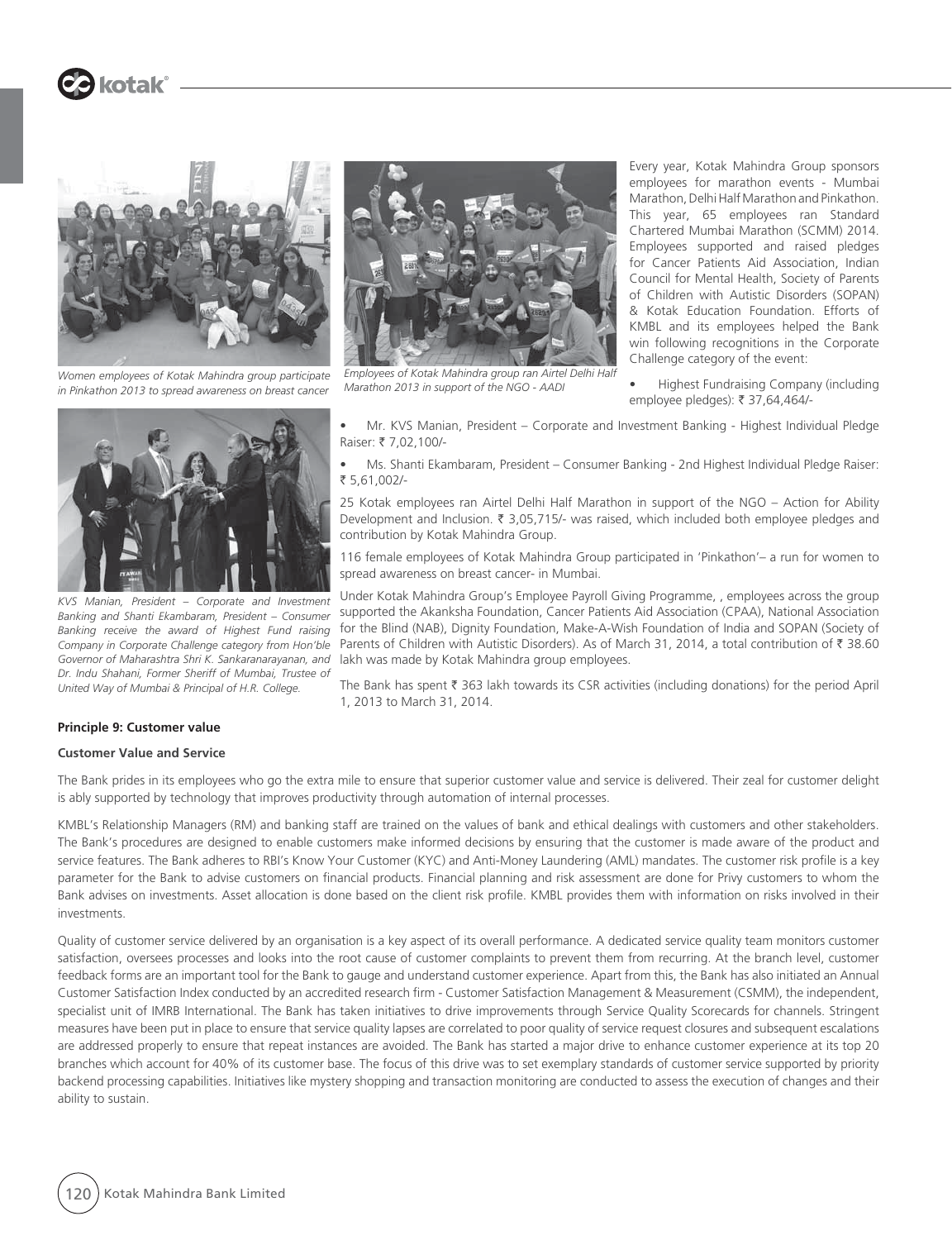

**B** kotak®

*Women employees of Kotak Mahindra group participate in Pinkathon 2013 to spread awareness on breast cancer*



*Employees of Kotak Mahindra group ran Airtel Delhi Half Marathon 2013 in support of the NGO - AADI*

Every year, Kotak Mahindra Group sponsors employees for marathon events - Mumbai Marathon, Delhi Half Marathon and Pinkathon. This year, 65 employees ran Standard Chartered Mumbai Marathon (SCMM) 2014. Employees supported and raised pledges for Cancer Patients Aid Association, Indian Council for Mental Health, Society of Parents of Children with Autistic Disorders (SOPAN) & Kotak Education Foundation. Efforts of KMBL and its employees helped the Bank win following recognitions in the Corporate Challenge category of the event:

Highest Fundraising Company (including employee pledges): ₹ 37,64,464/-



*KVS Manian, President – Corporate and Investment Banking and Shanti Ekambaram, President – Consumer Banking receive the award of Highest Fund raising Company in Corporate Challenge category from Hon'ble Governor of Maharashtra Shri K. Sankaranarayanan, and Dr. Indu Shahani, Former Sheriff of Mumbai, Trustee of United Way of Mumbai & Principal of H.R. College.*

Mr. KVS Manian, President - Corporate and Investment Banking - Highest Individual Pledge Raiser: ₹ 7.02,100/-

Ms. Shanti Ekambaram, President - Consumer Banking - 2nd Highest Individual Pledge Raiser: ` 5,61,002/-

25 Kotak employees ran Airtel Delhi Half Marathon in support of the NGO – Action for Ability Development and Inclusion.  $\bar{\tau}$  3,05,715/- was raised, which included both employee pledges and contribution by Kotak Mahindra Group.

116 female employees of Kotak Mahindra Group participated in 'Pinkathon'– a run for women to spread awareness on breast cancer- in Mumbai.

Under Kotak Mahindra Group's Employee Payroll Giving Programme, , employees across the group supported the Akanksha Foundation, Cancer Patients Aid Association (CPAA), National Association for the Blind (NAB), Dignity Foundation, Make-A-Wish Foundation of India and SOPAN (Society of Parents of Children with Autistic Disorders). As of March 31, 2014, a total contribution of ₹ 38.60 lakh was made by Kotak Mahindra group employees.

The Bank has spent  $\bar{\tau}$  363 lakh towards its CSR activities (including donations) for the period April 1, 2013 to March 31, 2014.

#### **Principle 9: Customer value**

#### **Customer Value and Service**

The Bank prides in its employees who go the extra mile to ensure that superior customer value and service is delivered. Their zeal for customer delight is ably supported by technology that improves productivity through automation of internal processes.

KMBL's Relationship Managers (RM) and banking staff are trained on the values of bank and ethical dealings with customers and other stakeholders. The Bank's procedures are designed to enable customers make informed decisions by ensuring that the customer is made aware of the product and service features. The Bank adheres to RBI's Know Your Customer (KYC) and Anti-Money Laundering (AML) mandates. The customer risk profile is a key parameter for the Bank to advise customers on financial products. Financial planning and risk assessment are done for Privy customers to whom the Bank advises on investments. Asset allocation is done based on the client risk profile. KMBL provides them with information on risks involved in their investments.

Quality of customer service delivered by an organisation is a key aspect of its overall performance. A dedicated service quality team monitors customer satisfaction, oversees processes and looks into the root cause of customer complaints to prevent them from recurring. At the branch level, customer feedback forms are an important tool for the Bank to gauge and understand customer experience. Apart from this, the Bank has also initiated an Annual Customer Satisfaction Index conducted by an accredited research firm - Customer Satisfaction Management & Measurement (CSMM), the independent, specialist unit of IMRB International. The Bank has taken initiatives to drive improvements through Service Quality Scorecards for channels. Stringent measures have been put in place to ensure that service quality lapses are correlated to poor quality of service request closures and subsequent escalations are addressed properly to ensure that repeat instances are avoided. The Bank has started a major drive to enhance customer experience at its top 20 branches which account for 40% of its customer base. The focus of this drive was to set exemplary standards of customer service supported by priority backend processing capabilities. Initiatives like mystery shopping and transaction monitoring are conducted to assess the execution of changes and their ability to sustain.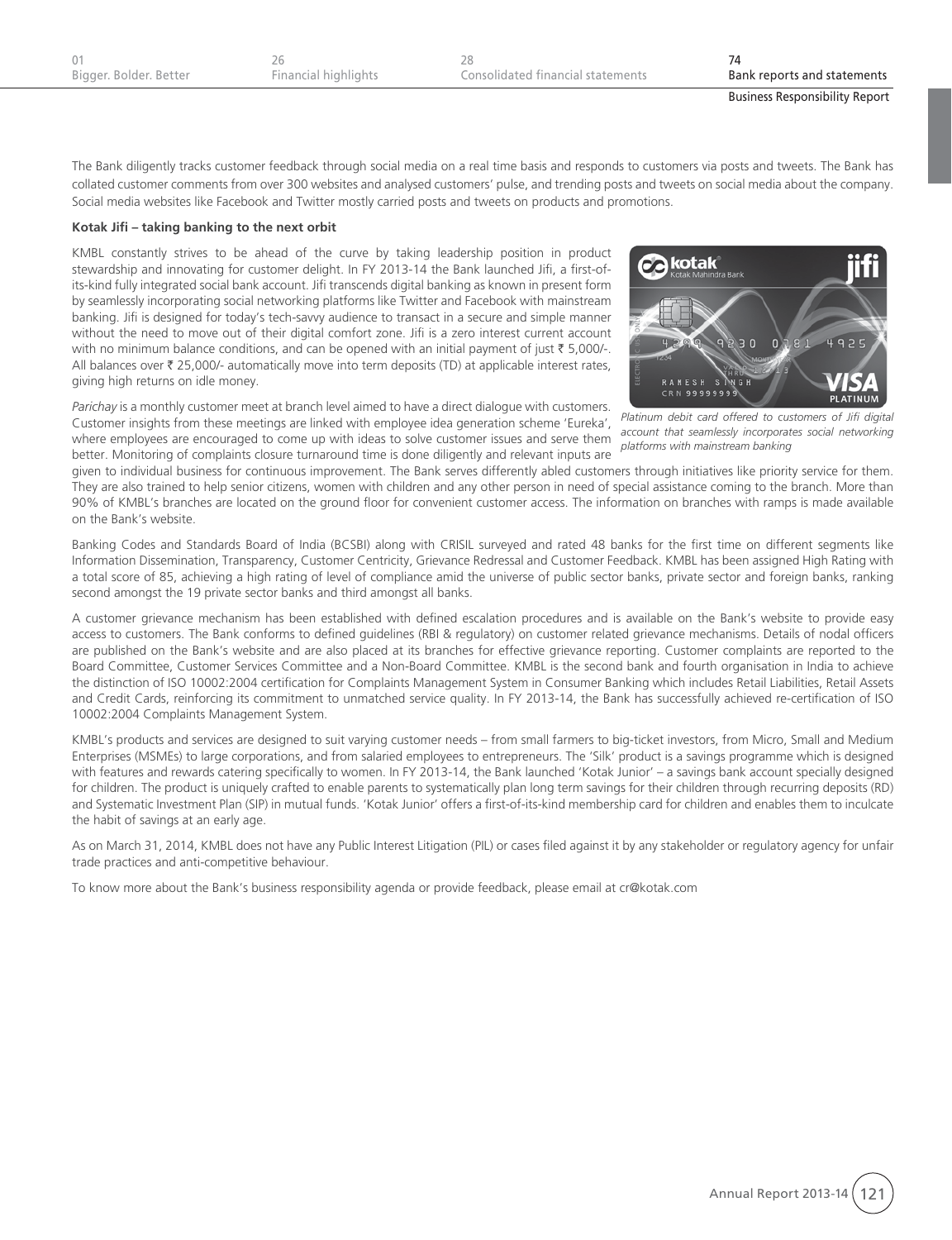| Bigger. Bolder. Better | Financial highlights | Consolidated financial statements | Bank reports and statements           |
|------------------------|----------------------|-----------------------------------|---------------------------------------|
|                        |                      |                                   | <b>Business Responsibility Report</b> |

The Bank diligently tracks customer feedback through social media on a real time basis and responds to customers via posts and tweets. The Bank has collated customer comments from over 300 websites and analysed customers' pulse, and trending posts and tweets on social media about the company. Social media websites like Facebook and Twitter mostly carried posts and tweets on products and promotions.

#### **Kotak Jifi – taking banking to the next orbit**

KMBL constantly strives to be ahead of the curve by taking leadership position in product stewardship and innovating for customer delight. In FY 2013-14 the Bank launched Jifi, a first-ofits-kind fully integrated social bank account. Jifi transcends digital banking as known in present form by seamlessly incorporating social networking platforms like Twitter and Facebook with mainstream banking. Jifi is designed for today's tech-savvy audience to transact in a secure and simple manner without the need to move out of their digital comfort zone. Jifi is a zero interest current account with no minimum balance conditions, and can be opened with an initial payment of just  $\bar{\tau}$  5,000/-. All balances over  $\bar{\tau}$  25,000/- automatically move into term deposits (TD) at applicable interest rates, giving high returns on idle money.



*Parichay* is a monthly customer meet at branch level aimed to have a direct dialogue with customers. Customer insights from these meetings are linked with employee idea generation scheme 'Eureka', where employees are encouraged to come up with ideas to solve customer issues and serve them better. Monitoring of complaints closure turnaround time is done diligently and relevant inputs are

given to individual business for continuous improvement. The Bank serves differently abled customers through initiatives like priority service for them. *account that seamlessly incorporates social networking platforms with mainstream banking*

They are also trained to help senior citizens, women with children and any other person in need of special assistance coming to the branch. More than 90% of KMBL's branches are located on the ground floor for convenient customer access. The information on branches with ramps is made available on the Bank's website.

Banking Codes and Standards Board of India (BCSBI) along with CRISIL surveyed and rated 48 banks for the first time on different segments like Information Dissemination, Transparency, Customer Centricity, Grievance Redressal and Customer Feedback. KMBL has been assigned High Rating with a total score of 85, achieving a high rating of level of compliance amid the universe of public sector banks, private sector and foreign banks, ranking second amongst the 19 private sector banks and third amongst all banks.

A customer grievance mechanism has been established with defined escalation procedures and is available on the Bank's website to provide easy access to customers. The Bank conforms to defined guidelines (RBI & regulatory) on customer related grievance mechanisms. Details of nodal officers are published on the Bank's website and are also placed at its branches for effective grievance reporting. Customer complaints are reported to the Board Committee, Customer Services Committee and a Non-Board Committee. KMBL is the second bank and fourth organisation in India to achieve the distinction of ISO 10002:2004 certification for Complaints Management System in Consumer Banking which includes Retail Liabilities, Retail Assets and Credit Cards, reinforcing its commitment to unmatched service quality. In FY 2013-14, the Bank has successfully achieved re-certification of ISO 10002:2004 Complaints Management System.

KMBL's products and services are designed to suit varying customer needs – from small farmers to big-ticket investors, from Micro, Small and Medium Enterprises (MSMEs) to large corporations, and from salaried employees to entrepreneurs. The 'Silk' product is a savings programme which is designed with features and rewards catering specifically to women. In FY 2013-14, the Bank launched 'Kotak Junior' – a savings bank account specially designed for children. The product is uniquely crafted to enable parents to systematically plan long term savings for their children through recurring deposits (RD) and Systematic Investment Plan (SIP) in mutual funds. 'Kotak Junior' offers a first-of-its-kind membership card for children and enables them to inculcate the habit of savings at an early age.

As on March 31, 2014, KMBL does not have any Public Interest Litigation (PIL) or cases filed against it by any stakeholder or regulatory agency for unfair trade practices and anti-competitive behaviour.

To know more about the Bank's business responsibility agenda or provide feedback, please email at cr@kotak.com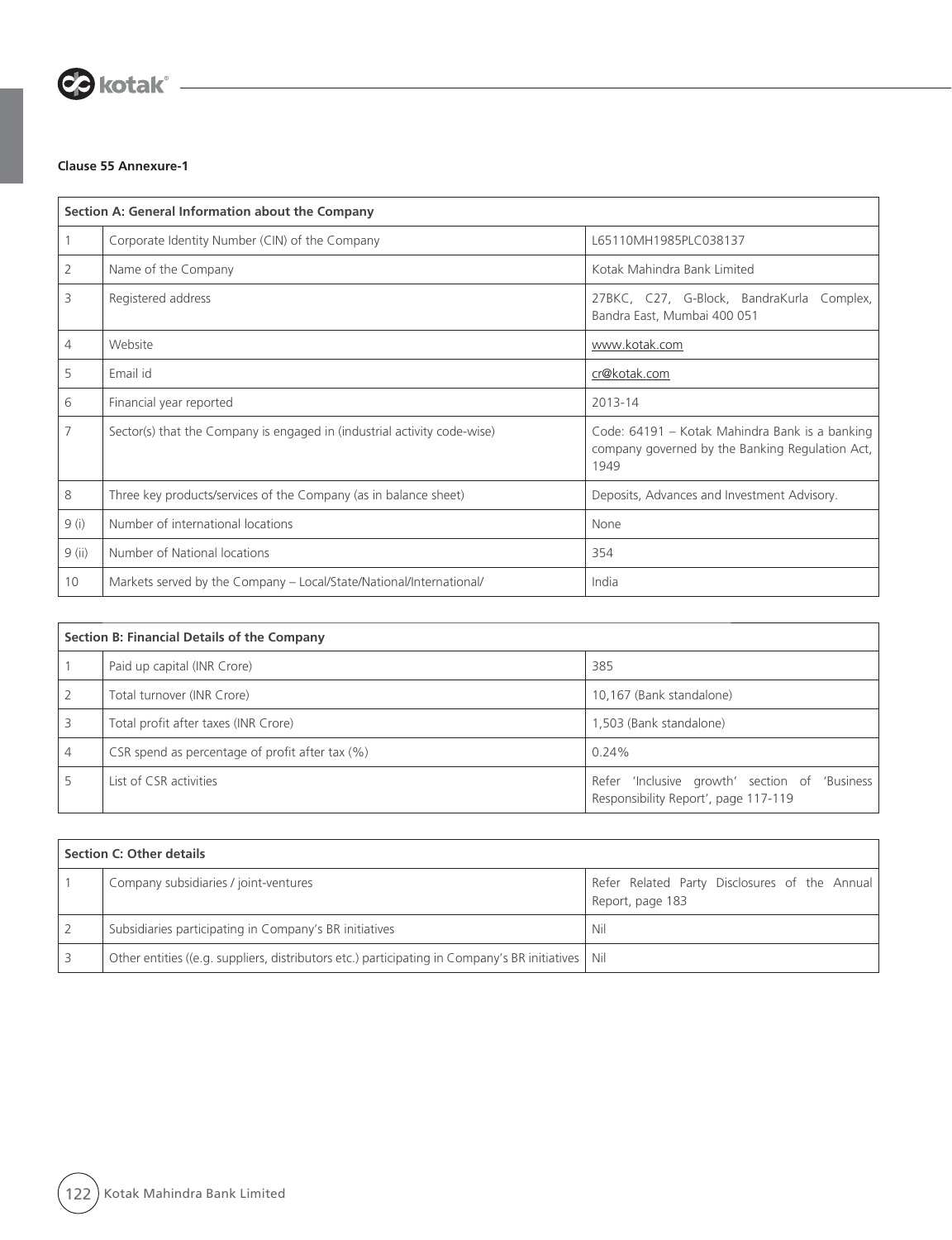

## **Clause 55 Annexure-1**

|                | Section A: General Information about the Company                         |                                                                                                           |  |  |
|----------------|--------------------------------------------------------------------------|-----------------------------------------------------------------------------------------------------------|--|--|
|                | Corporate Identity Number (CIN) of the Company                           | L65110MH1985PLC038137                                                                                     |  |  |
| 2              | Name of the Company                                                      | Kotak Mahindra Bank Limited                                                                               |  |  |
| 3              | Registered address                                                       | 27BKC, C27, G-Block, BandraKurla Complex,<br>Bandra East, Mumbai 400 051                                  |  |  |
| 4              | Website                                                                  | www.kotak.com                                                                                             |  |  |
| 5              | Email id                                                                 | cr@kotak.com                                                                                              |  |  |
| 6              | Financial year reported                                                  | 2013-14                                                                                                   |  |  |
| $\overline{7}$ | Sector(s) that the Company is engaged in (industrial activity code-wise) | Code: 64191 - Kotak Mahindra Bank is a banking<br>company governed by the Banking Regulation Act,<br>1949 |  |  |
| 8              | Three key products/services of the Company (as in balance sheet)         | Deposits, Advances and Investment Advisory.                                                               |  |  |
| 9(i)           | Number of international locations                                        | None                                                                                                      |  |  |
| $9$ (ii)       | Number of National locations                                             | 354                                                                                                       |  |  |
| 10             | Markets served by the Company - Local/State/National/International/      | India                                                                                                     |  |  |

| Section B: Financial Details of the Company        |                                                                                       |  |  |
|----------------------------------------------------|---------------------------------------------------------------------------------------|--|--|
| Paid up capital (INR Crore)                        | 385                                                                                   |  |  |
| Total turnover (INR Crore)                         | 10,167 (Bank standalone)                                                              |  |  |
| Total profit after taxes (INR Crore)               | 1,503 (Bank standalone)                                                               |  |  |
| CSR spend as percentage of profit after tax $(\%)$ | 0.24%                                                                                 |  |  |
| List of CSR activities                             | Refer 'Inclusive growth' section of 'Business<br>Responsibility Report', page 117-119 |  |  |

| Section C: Other details |                                                                                                     |                                                                   |  |  |
|--------------------------|-----------------------------------------------------------------------------------------------------|-------------------------------------------------------------------|--|--|
|                          | Company subsidiaries / joint-ventures                                                               | Refer Related Party Disclosures of the Annual<br>Report, page 183 |  |  |
|                          | Subsidiaries participating in Company's BR initiatives                                              | Nil                                                               |  |  |
|                          | Other entities ((e.g. suppliers, distributors etc.) participating in Company's BR initiatives   Nil |                                                                   |  |  |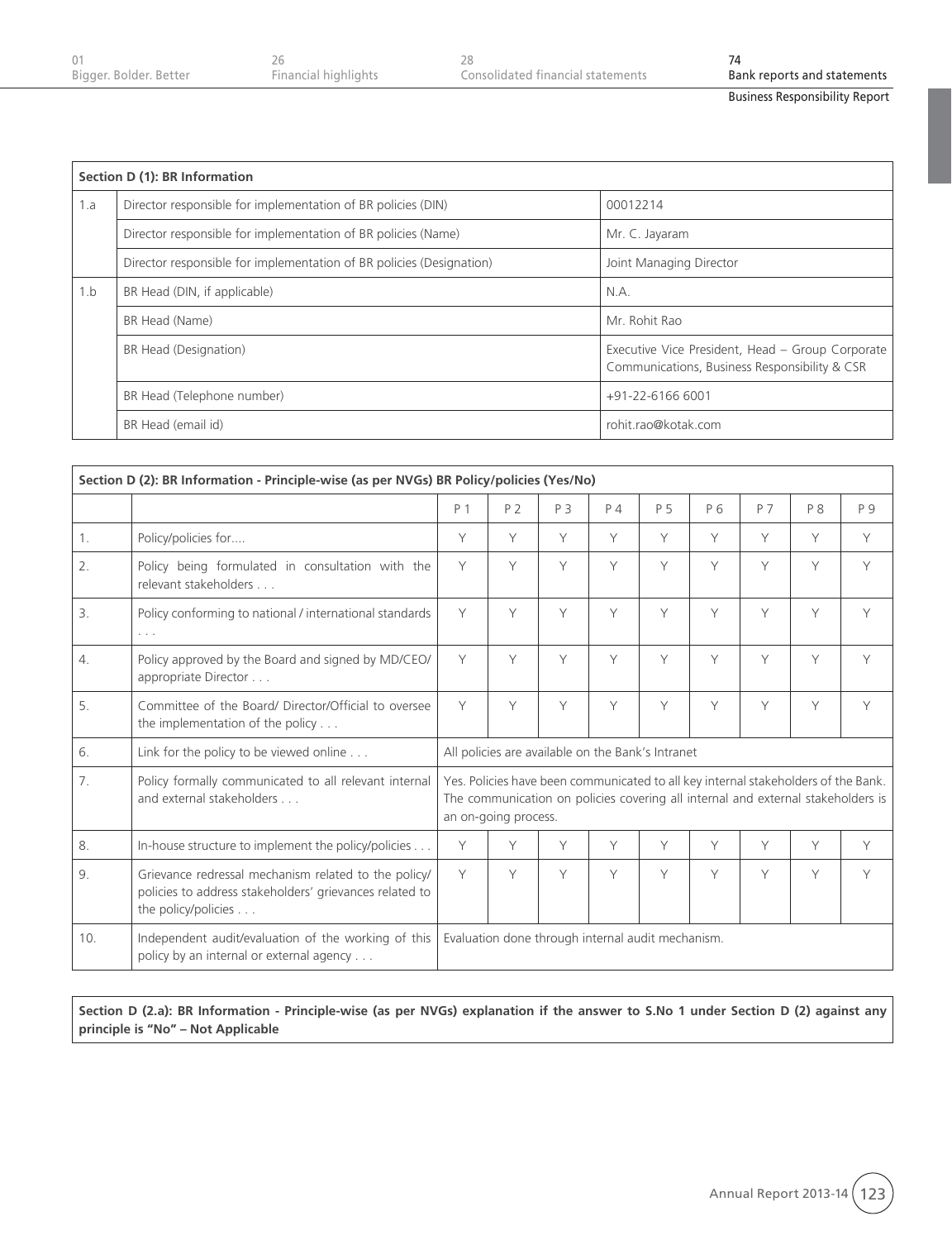| Bigger. Bolder. Better | Financial highlights | Consolidated financial statements | Bank reports and statements |
|------------------------|----------------------|-----------------------------------|-----------------------------|
|                        |                      |                                   |                             |

|     | Section D (1): BR Information                                        |                                                                                                   |  |  |  |
|-----|----------------------------------------------------------------------|---------------------------------------------------------------------------------------------------|--|--|--|
| 1.a | Director responsible for implementation of BR policies (DIN)         | 00012214                                                                                          |  |  |  |
|     | Director responsible for implementation of BR policies (Name)        | Mr. C. Jayaram                                                                                    |  |  |  |
|     | Director responsible for implementation of BR policies (Designation) | Joint Managing Director                                                                           |  |  |  |
| 1.b | BR Head (DIN, if applicable)                                         | N.A.                                                                                              |  |  |  |
|     | BR Head (Name)                                                       | Mr. Rohit Rao                                                                                     |  |  |  |
|     | BR Head (Designation)                                                | Executive Vice President, Head - Group Corporate<br>Communications, Business Responsibility & CSR |  |  |  |
|     | BR Head (Telephone number)                                           | +91-22-6166 6001                                                                                  |  |  |  |
|     | BR Head (email id)                                                   | rohit.rao@kotak.com                                                                               |  |  |  |

| Section D (2): BR Information - Principle-wise (as per NVGs) BR Policy/policies (Yes/No) |                                                                                                                                        |                                                   |                                                                                                                                                                                                |                                                   |       |     |                |     |     |     |
|------------------------------------------------------------------------------------------|----------------------------------------------------------------------------------------------------------------------------------------|---------------------------------------------------|------------------------------------------------------------------------------------------------------------------------------------------------------------------------------------------------|---------------------------------------------------|-------|-----|----------------|-----|-----|-----|
|                                                                                          |                                                                                                                                        | P 1                                               | P <sub>2</sub>                                                                                                                                                                                 | P 3                                               | $P_4$ | P 5 | P <sub>6</sub> | P 7 | P 8 | P 9 |
| 1.                                                                                       | Policy/policies for                                                                                                                    | Y                                                 | Y                                                                                                                                                                                              | Y                                                 | Y     | Y   | Y              | Y   | Y   | Y   |
| 2.                                                                                       | Policy being formulated in consultation with the<br>relevant stakeholders                                                              | Y                                                 | Y                                                                                                                                                                                              | Y                                                 | Y     | Y   | Y              | Y   | Y   | Y   |
| 3.                                                                                       | Policy conforming to national / international standards<br>$\sim$ $\sim$ $\sim$                                                        | Y                                                 | Y                                                                                                                                                                                              | Y                                                 | Y     | Y   | Υ              | Y   | Y   | Υ   |
| 4.                                                                                       | Policy approved by the Board and signed by MD/CEO/<br>appropriate Director                                                             | Y                                                 | Y                                                                                                                                                                                              | Y                                                 | Y     | Y   | Y              | Y   | Y   | Y   |
| 5.                                                                                       | Committee of the Board/ Director/Official to oversee<br>the implementation of the policy $\dots$                                       | Y                                                 | Y                                                                                                                                                                                              | Y                                                 | Y     | Y   | Y              | Y   | Y   | Y   |
| 6.                                                                                       | Link for the policy to be viewed online                                                                                                |                                                   |                                                                                                                                                                                                | All policies are available on the Bank's Intranet |       |     |                |     |     |     |
| 7.                                                                                       | Policy formally communicated to all relevant internal<br>and external stakeholders                                                     |                                                   | Yes. Policies have been communicated to all key internal stakeholders of the Bank.<br>The communication on policies covering all internal and external stakeholders is<br>an on-going process. |                                                   |       |     |                |     |     |     |
| 8.                                                                                       | In-house structure to implement the policy/policies                                                                                    | Y                                                 | Y                                                                                                                                                                                              | Y                                                 | Y     | Υ   | Υ              | Y   | Y   | Y   |
| 9.                                                                                       | Grievance redressal mechanism related to the policy/<br>policies to address stakeholders' grievances related to<br>the policy/policies | Y                                                 | Y                                                                                                                                                                                              | Y                                                 | Y     | Y   | Y              | Y   | Y   | Y   |
| 10.                                                                                      | Independent audit/evaluation of the working of this<br>policy by an internal or external agency                                        | Evaluation done through internal audit mechanism. |                                                                                                                                                                                                |                                                   |       |     |                |     |     |     |

**Section D (2.a): BR Information - Principle-wise (as per NVGs) explanation if the answer to S.No 1 under Section D (2) against any principle is "No" – Not Applicable**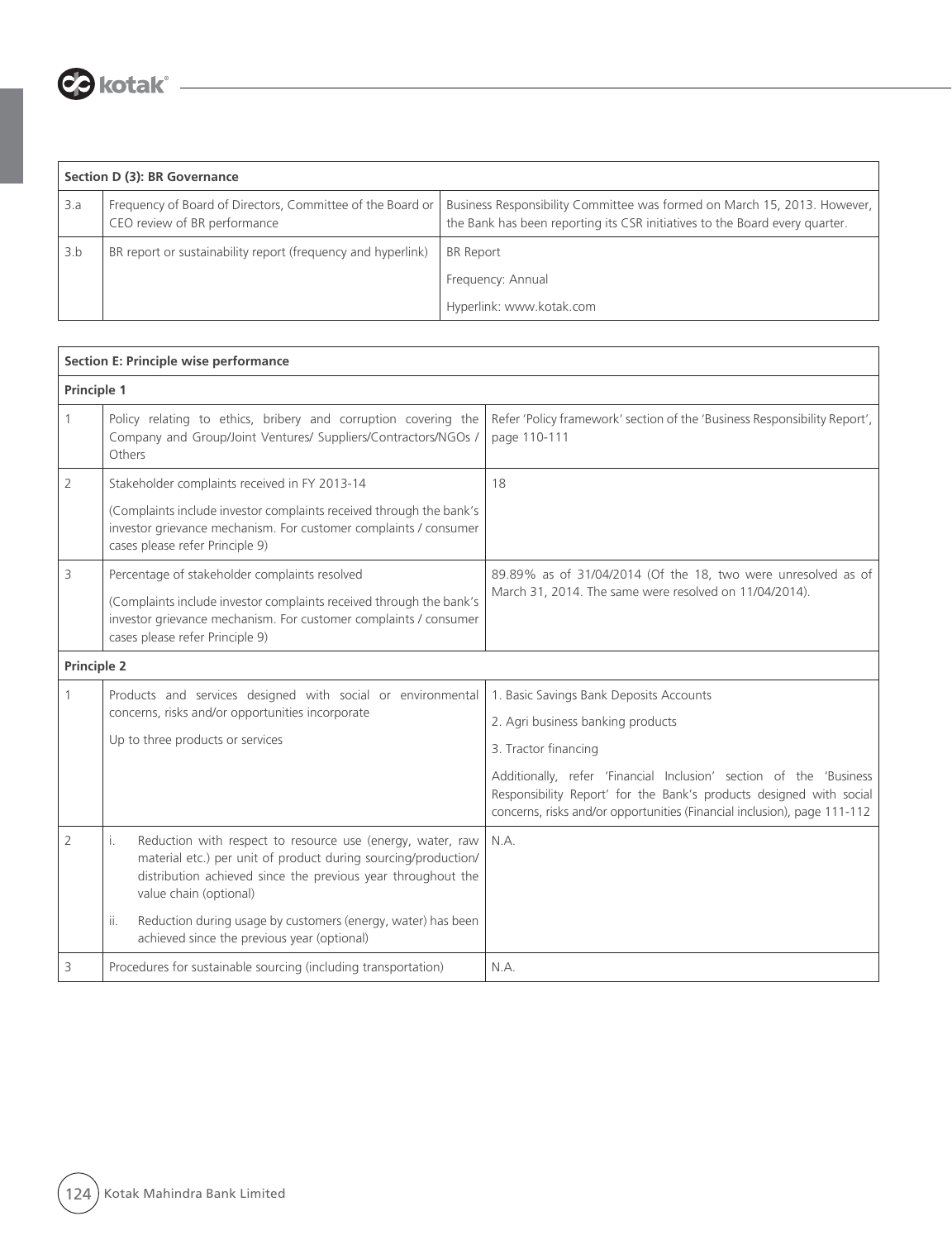

|     | Section D (3): BR Governance                                                                 |                                                                                                                                                           |  |  |  |
|-----|----------------------------------------------------------------------------------------------|-----------------------------------------------------------------------------------------------------------------------------------------------------------|--|--|--|
| 3.a | Frequency of Board of Directors, Committee of the Board or  <br>CEO review of BR performance | Business Responsibility Committee was formed on March 15, 2013. However,  <br>the Bank has been reporting its CSR initiatives to the Board every quarter. |  |  |  |
| 3.b | BR report or sustainability report (frequency and hyperlink)                                 | <b>BR</b> Report                                                                                                                                          |  |  |  |
|     |                                                                                              | Frequency: Annual                                                                                                                                         |  |  |  |
|     |                                                                                              | Hyperlink: www.kotak.com                                                                                                                                  |  |  |  |

| Section E: Principle wise performance |                                                                                                                                                                                                                              |                                                                                                                                                                                                                       |  |  |
|---------------------------------------|------------------------------------------------------------------------------------------------------------------------------------------------------------------------------------------------------------------------------|-----------------------------------------------------------------------------------------------------------------------------------------------------------------------------------------------------------------------|--|--|
| Principle 1                           |                                                                                                                                                                                                                              |                                                                                                                                                                                                                       |  |  |
| 1                                     | Policy relating to ethics, bribery and corruption covering the<br>Company and Group/Joint Ventures/ Suppliers/Contractors/NGOs /<br>Others                                                                                   | Refer 'Policy framework' section of the 'Business Responsibility Report',<br>page 110-111                                                                                                                             |  |  |
| 2                                     | Stakeholder complaints received in FY 2013-14                                                                                                                                                                                | 18                                                                                                                                                                                                                    |  |  |
|                                       | (Complaints include investor complaints received through the bank's<br>investor grievance mechanism. For customer complaints / consumer<br>cases please refer Principle 9)                                                   |                                                                                                                                                                                                                       |  |  |
| 3                                     | Percentage of stakeholder complaints resolved                                                                                                                                                                                | 89.89% as of 31/04/2014 (Of the 18, two were unresolved as of                                                                                                                                                         |  |  |
|                                       | (Complaints include investor complaints received through the bank's<br>investor grievance mechanism. For customer complaints / consumer<br>cases please refer Principle 9)                                                   | March 31, 2014. The same were resolved on 11/04/2014).                                                                                                                                                                |  |  |
| Principle 2                           |                                                                                                                                                                                                                              |                                                                                                                                                                                                                       |  |  |
|                                       | Products and services designed with social or environmental                                                                                                                                                                  | 1. Basic Savings Bank Deposits Accounts                                                                                                                                                                               |  |  |
|                                       | concerns, risks and/or opportunities incorporate                                                                                                                                                                             | 2. Agri business banking products                                                                                                                                                                                     |  |  |
|                                       | Up to three products or services                                                                                                                                                                                             | 3. Tractor financing                                                                                                                                                                                                  |  |  |
|                                       |                                                                                                                                                                                                                              | Additionally, refer 'Financial Inclusion' section of the 'Business<br>Responsibility Report' for the Bank's products designed with social<br>concerns, risks and/or opportunities (Financial inclusion), page 111-112 |  |  |
| 2                                     | Reduction with respect to resource use (energy, water, raw<br>i.<br>material etc.) per unit of product during sourcing/production/<br>distribution achieved since the previous year throughout the<br>value chain (optional) | N.A.                                                                                                                                                                                                                  |  |  |
|                                       | Reduction during usage by customers (energy, water) has been<br>ii.<br>achieved since the previous year (optional)                                                                                                           |                                                                                                                                                                                                                       |  |  |
| 3                                     | Procedures for sustainable sourcing (including transportation)                                                                                                                                                               | N.A.                                                                                                                                                                                                                  |  |  |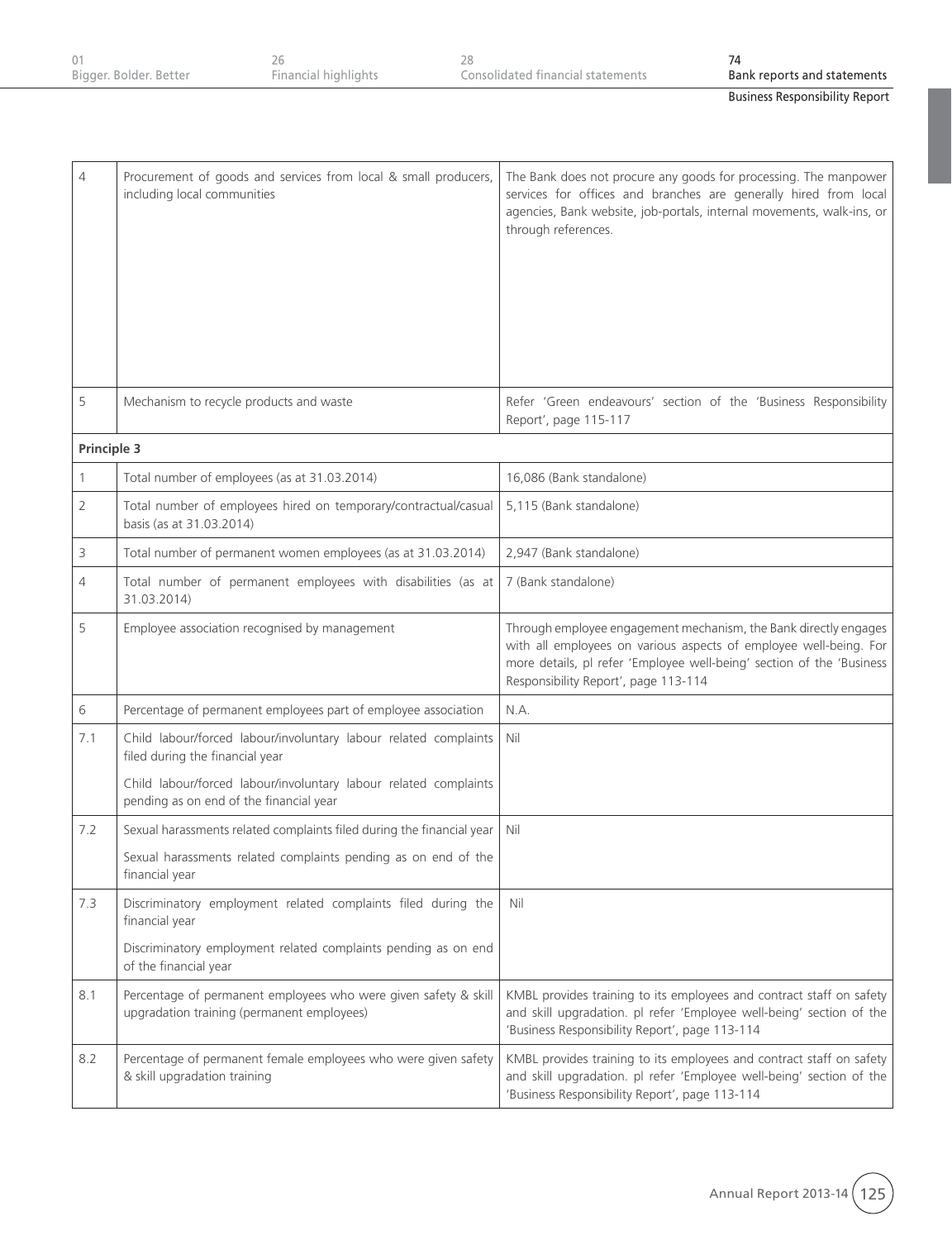| Bigger. Bolder. Better<br>Financial highlights<br>Consolidated financial statements |  |                             |
|-------------------------------------------------------------------------------------|--|-----------------------------|
|                                                                                     |  | Bank reports and statements |

| $\overline{4}$ | Procurement of goods and services from local & small producers,<br>including local communities                | The Bank does not procure any goods for processing. The manpower<br>services for offices and branches are generally hired from local<br>agencies, Bank website, job-portals, internal movements, walk-ins, or<br>through references.                   |
|----------------|---------------------------------------------------------------------------------------------------------------|--------------------------------------------------------------------------------------------------------------------------------------------------------------------------------------------------------------------------------------------------------|
| 5              | Mechanism to recycle products and waste                                                                       | Refer 'Green endeavours' section of the 'Business Responsibility<br>Report', page 115-117                                                                                                                                                              |
| Principle 3    |                                                                                                               |                                                                                                                                                                                                                                                        |
| $\mathbf{1}$   | Total number of employees (as at 31.03.2014)                                                                  | 16,086 (Bank standalone)                                                                                                                                                                                                                               |
| 2              | Total number of employees hired on temporary/contractual/casual<br>basis (as at 31.03.2014)                   | 5,115 (Bank standalone)                                                                                                                                                                                                                                |
| 3              | Total number of permanent women employees (as at 31.03.2014)                                                  | 2,947 (Bank standalone)                                                                                                                                                                                                                                |
| 4              | Total number of permanent employees with disabilities (as at<br>31.03.2014)                                   | 7 (Bank standalone)                                                                                                                                                                                                                                    |
| 5              | Employee association recognised by management                                                                 | Through employee engagement mechanism, the Bank directly engages<br>with all employees on various aspects of employee well-being. For<br>more details, pl refer 'Employee well-being' section of the 'Business<br>Responsibility Report', page 113-114 |
| 6              | Percentage of permanent employees part of employee association                                                | N.A.                                                                                                                                                                                                                                                   |
| 7.1            | Child labour/forced labour/involuntary labour related complaints<br>filed during the financial year           | Nil                                                                                                                                                                                                                                                    |
|                | Child labour/forced labour/involuntary labour related complaints<br>pending as on end of the financial year   |                                                                                                                                                                                                                                                        |
| 7.2            | Sexual harassments related complaints filed during the financial year                                         | Nil                                                                                                                                                                                                                                                    |
|                | Sexual harassments related complaints pending as on end of the<br>financial year                              |                                                                                                                                                                                                                                                        |
| 7.3            | Discriminatory employment related complaints filed during the<br>financial year                               | Nil                                                                                                                                                                                                                                                    |
|                | Discriminatory employment related complaints pending as on end<br>of the financial year                       |                                                                                                                                                                                                                                                        |
| 8.1            | Percentage of permanent employees who were given safety & skill<br>upgradation training (permanent employees) | KMBL provides training to its employees and contract staff on safety<br>and skill upgradation. pl refer 'Employee well-being' section of the<br>'Business Responsibility Report', page 113-114                                                         |
| 8.2            | Percentage of permanent female employees who were given safety<br>& skill upgradation training                | KMBL provides training to its employees and contract staff on safety<br>and skill upgradation. pl refer 'Employee well-being' section of the<br>'Business Responsibility Report', page 113-114                                                         |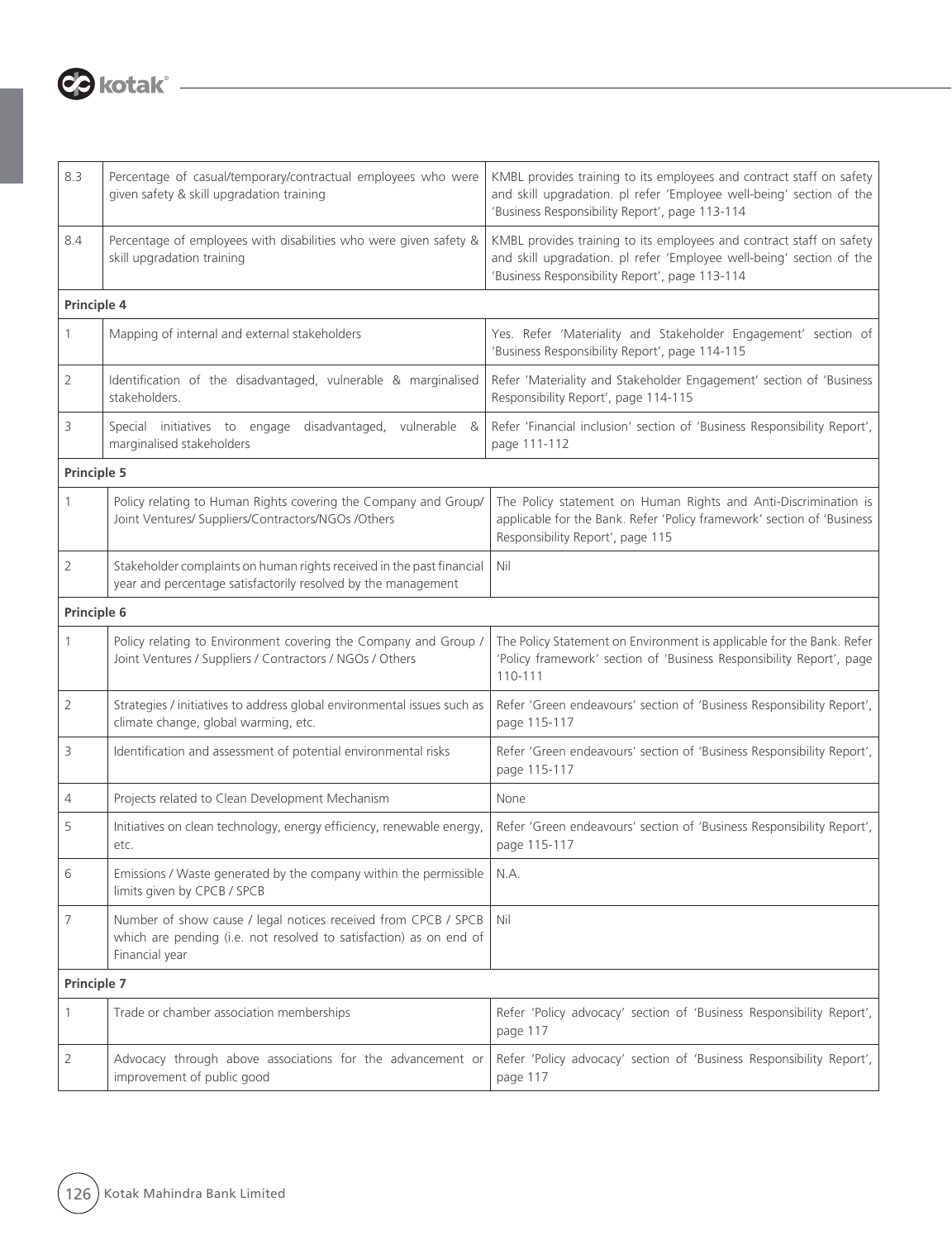

| 8.3            | Percentage of casual/temporary/contractual employees who were<br>given safety & skill upgradation training                                             | KMBL provides training to its employees and contract staff on safety<br>and skill upgradation. pl refer 'Employee well-being' section of the<br>'Business Responsibility Report', page 113-114 |
|----------------|--------------------------------------------------------------------------------------------------------------------------------------------------------|------------------------------------------------------------------------------------------------------------------------------------------------------------------------------------------------|
| 8.4            | Percentage of employees with disabilities who were given safety &<br>skill upgradation training                                                        | KMBL provides training to its employees and contract staff on safety<br>and skill upgradation. pl refer 'Employee well-being' section of the<br>'Business Responsibility Report', page 113-114 |
| Principle 4    |                                                                                                                                                        |                                                                                                                                                                                                |
| 1              | Mapping of internal and external stakeholders                                                                                                          | Yes. Refer 'Materiality and Stakeholder Engagement' section of<br>'Business Responsibility Report', page 114-115                                                                               |
| 2              | Identification of the disadvantaged, vulnerable & marginalised<br>stakeholders.                                                                        | Refer 'Materiality and Stakeholder Engagement' section of 'Business<br>Responsibility Report', page 114-115                                                                                    |
| 3              | Special initiatives to engage<br>disadvantaged, vulnerable &<br>marginalised stakeholders                                                              | Refer 'Financial inclusion' section of 'Business Responsibility Report',<br>page 111-112                                                                                                       |
| Principle 5    |                                                                                                                                                        |                                                                                                                                                                                                |
| 1              | Policy relating to Human Rights covering the Company and Group/<br>Joint Ventures/ Suppliers/Contractors/NGOs /Others                                  | The Policy statement on Human Rights and Anti-Discrimination is<br>applicable for the Bank. Refer 'Policy framework' section of 'Business<br>Responsibility Report', page 115                  |
| 2              | Stakeholder complaints on human rights received in the past financial<br>year and percentage satisfactorily resolved by the management                 | Nil                                                                                                                                                                                            |
| Principle 6    |                                                                                                                                                        |                                                                                                                                                                                                |
| 1              | Policy relating to Environment covering the Company and Group /<br>Joint Ventures / Suppliers / Contractors / NGOs / Others                            | The Policy Statement on Environment is applicable for the Bank. Refer<br>'Policy framework' section of 'Business Responsibility Report', page<br>110-111                                       |
| $\overline{2}$ | Strategies / initiatives to address global environmental issues such as<br>climate change, global warming, etc.                                        | Refer 'Green endeavours' section of 'Business Responsibility Report',<br>page 115-117                                                                                                          |
| 3              | Identification and assessment of potential environmental risks                                                                                         | Refer 'Green endeavours' section of 'Business Responsibility Report',<br>page 115-117                                                                                                          |
| 4              | Projects related to Clean Development Mechanism                                                                                                        | None                                                                                                                                                                                           |
| 5              | Initiatives on clean technology, energy efficiency, renewable energy,<br>etc.                                                                          | Refer 'Green endeavours' section of 'Business Responsibility Report',<br>page 115-117                                                                                                          |
| 6              | Emissions / Waste generated by the company within the permissible<br>limits given by CPCB / SPCB                                                       | N.A.                                                                                                                                                                                           |
| 7              | Number of show cause / legal notices received from CPCB / SPCB<br>which are pending (i.e. not resolved to satisfaction) as on end of<br>Financial year | Nil                                                                                                                                                                                            |
| Principle 7    |                                                                                                                                                        |                                                                                                                                                                                                |
| 1              | Trade or chamber association memberships                                                                                                               | Refer 'Policy advocacy' section of 'Business Responsibility Report',<br>page 117                                                                                                               |
| 2              | Advocacy through above associations for the advancement or<br>improvement of public good                                                               | Refer 'Policy advocacy' section of 'Business Responsibility Report',<br>page 117                                                                                                               |